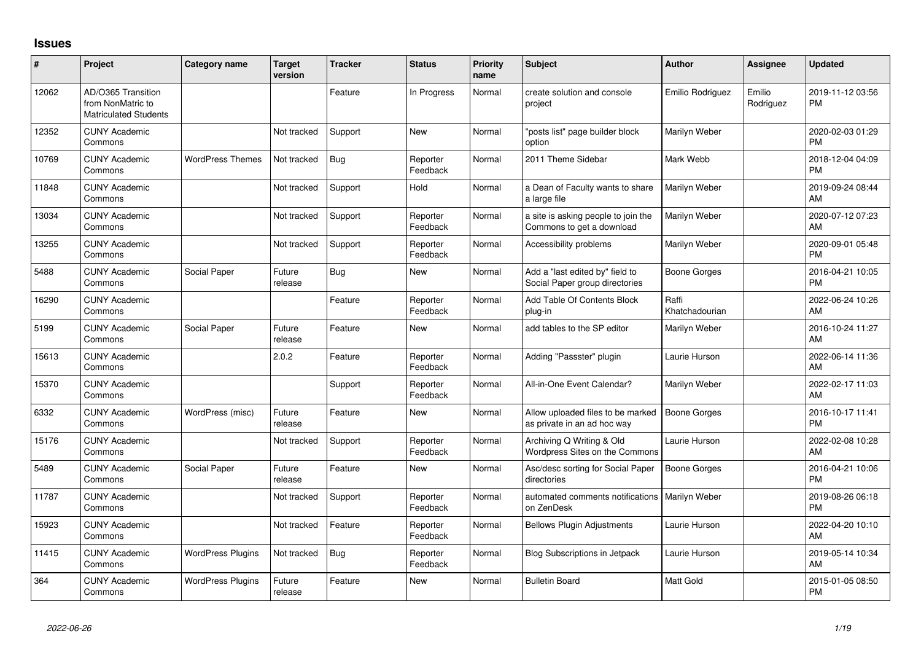## **Issues**

| ∦     | Project                                                                 | <b>Category name</b>     | <b>Target</b><br>version | <b>Tracker</b> | <b>Status</b>        | <b>Priority</b><br>name | <b>Subject</b>                                                    | <b>Author</b>           | <b>Assignee</b>     | <b>Updated</b>                |
|-------|-------------------------------------------------------------------------|--------------------------|--------------------------|----------------|----------------------|-------------------------|-------------------------------------------------------------------|-------------------------|---------------------|-------------------------------|
| 12062 | AD/O365 Transition<br>from NonMatric to<br><b>Matriculated Students</b> |                          |                          | Feature        | In Progress          | Normal                  | create solution and console<br>project                            | Emilio Rodriguez        | Emilio<br>Rodriguez | 2019-11-12 03:56<br><b>PM</b> |
| 12352 | <b>CUNY Academic</b><br>Commons                                         |                          | Not tracked              | Support        | <b>New</b>           | Normal                  | posts list" page builder block<br>option                          | Marilyn Weber           |                     | 2020-02-03 01:29<br><b>PM</b> |
| 10769 | <b>CUNY Academic</b><br>Commons                                         | <b>WordPress Themes</b>  | Not tracked              | Bug            | Reporter<br>Feedback | Normal                  | 2011 Theme Sidebar                                                | Mark Webb               |                     | 2018-12-04 04:09<br><b>PM</b> |
| 11848 | <b>CUNY Academic</b><br>Commons                                         |                          | Not tracked              | Support        | Hold                 | Normal                  | a Dean of Faculty wants to share<br>a large file                  | Marilyn Weber           |                     | 2019-09-24 08:44<br>AM        |
| 13034 | <b>CUNY Academic</b><br>Commons                                         |                          | Not tracked              | Support        | Reporter<br>Feedback | Normal                  | a site is asking people to join the<br>Commons to get a download  | Marilyn Weber           |                     | 2020-07-12 07:23<br>AM        |
| 13255 | <b>CUNY Academic</b><br>Commons                                         |                          | Not tracked              | Support        | Reporter<br>Feedback | Normal                  | Accessibility problems                                            | Marilyn Weber           |                     | 2020-09-01 05:48<br><b>PM</b> |
| 5488  | <b>CUNY Academic</b><br>Commons                                         | Social Paper             | Future<br>release        | <b>Bug</b>     | <b>New</b>           | Normal                  | Add a "last edited by" field to<br>Social Paper group directories | <b>Boone Gorges</b>     |                     | 2016-04-21 10:05<br><b>PM</b> |
| 16290 | <b>CUNY Academic</b><br>Commons                                         |                          |                          | Feature        | Reporter<br>Feedback | Normal                  | Add Table Of Contents Block<br>plug-in                            | Raffi<br>Khatchadourian |                     | 2022-06-24 10:26<br>AM        |
| 5199  | <b>CUNY Academic</b><br>Commons                                         | Social Paper             | Future<br>release        | Feature        | <b>New</b>           | Normal                  | add tables to the SP editor                                       | Marilyn Weber           |                     | 2016-10-24 11:27<br>AM        |
| 15613 | <b>CUNY Academic</b><br>Commons                                         |                          | 2.0.2                    | Feature        | Reporter<br>Feedback | Normal                  | Adding "Passster" plugin                                          | Laurie Hurson           |                     | 2022-06-14 11:36<br>AM        |
| 15370 | <b>CUNY Academic</b><br>Commons                                         |                          |                          | Support        | Reporter<br>Feedback | Normal                  | All-in-One Event Calendar?                                        | Marilyn Weber           |                     | 2022-02-17 11:03<br>AM        |
| 6332  | <b>CUNY Academic</b><br>Commons                                         | WordPress (misc)         | Future<br>release        | Feature        | New                  | Normal                  | Allow uploaded files to be marked<br>as private in an ad hoc way  | <b>Boone Gorges</b>     |                     | 2016-10-17 11:41<br><b>PM</b> |
| 15176 | <b>CUNY Academic</b><br>Commons                                         |                          | Not tracked              | Support        | Reporter<br>Feedback | Normal                  | Archiving Q Writing & Old<br>Wordpress Sites on the Commons       | Laurie Hurson           |                     | 2022-02-08 10:28<br>AM        |
| 5489  | <b>CUNY Academic</b><br>Commons                                         | Social Paper             | Future<br>release        | Feature        | <b>New</b>           | Normal                  | Asc/desc sorting for Social Paper<br>directories                  | <b>Boone Gorges</b>     |                     | 2016-04-21 10:06<br><b>PM</b> |
| 11787 | <b>CUNY Academic</b><br>Commons                                         |                          | Not tracked              | Support        | Reporter<br>Feedback | Normal                  | automated comments notifications<br>on ZenDesk                    | <b>Marilyn Weber</b>    |                     | 2019-08-26 06:18<br><b>PM</b> |
| 15923 | <b>CUNY Academic</b><br>Commons                                         |                          | Not tracked              | Feature        | Reporter<br>Feedback | Normal                  | <b>Bellows Plugin Adjustments</b>                                 | Laurie Hurson           |                     | 2022-04-20 10:10<br>AM        |
| 11415 | <b>CUNY Academic</b><br>Commons                                         | <b>WordPress Plugins</b> | Not tracked              | Bug            | Reporter<br>Feedback | Normal                  | <b>Blog Subscriptions in Jetpack</b>                              | Laurie Hurson           |                     | 2019-05-14 10:34<br>AM        |
| 364   | <b>CUNY Academic</b><br>Commons                                         | <b>WordPress Plugins</b> | Future<br>release        | Feature        | <b>New</b>           | Normal                  | <b>Bulletin Board</b>                                             | Matt Gold               |                     | 2015-01-05 08:50<br><b>PM</b> |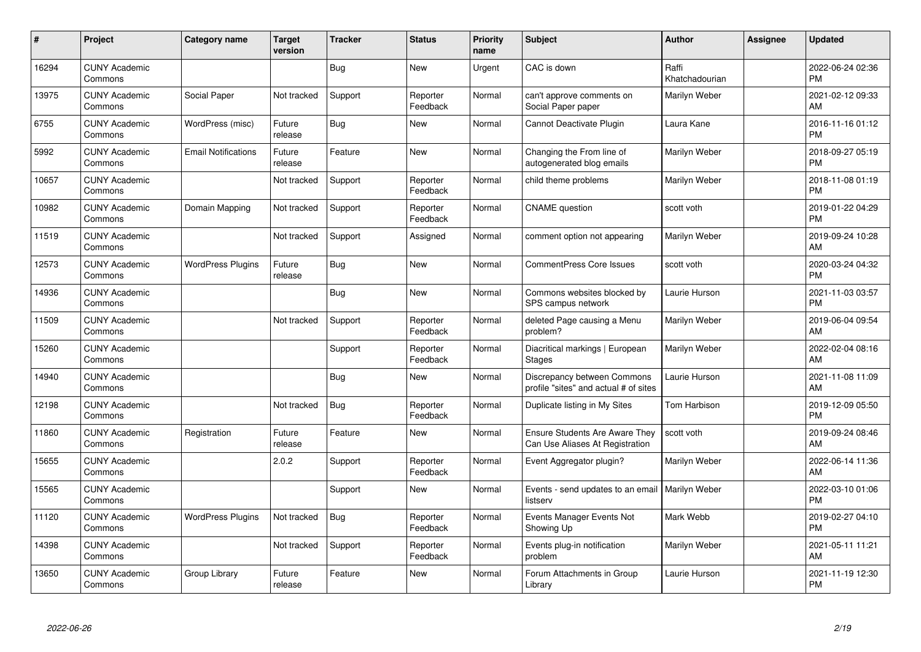| #     | Project                         | <b>Category name</b>       | <b>Target</b><br>version | <b>Tracker</b> | <b>Status</b>        | <b>Priority</b><br>name | <b>Subject</b>                                                       | Author                  | <b>Assignee</b> | <b>Updated</b>                |
|-------|---------------------------------|----------------------------|--------------------------|----------------|----------------------|-------------------------|----------------------------------------------------------------------|-------------------------|-----------------|-------------------------------|
| 16294 | <b>CUNY Academic</b><br>Commons |                            |                          | Bug            | <b>New</b>           | Urgent                  | CAC is down                                                          | Raffi<br>Khatchadourian |                 | 2022-06-24 02:36<br><b>PM</b> |
| 13975 | <b>CUNY Academic</b><br>Commons | Social Paper               | Not tracked              | Support        | Reporter<br>Feedback | Normal                  | can't approve comments on<br>Social Paper paper                      | Marilyn Weber           |                 | 2021-02-12 09:33<br>AM        |
| 6755  | <b>CUNY Academic</b><br>Commons | WordPress (misc)           | Future<br>release        | Bug            | <b>New</b>           | Normal                  | Cannot Deactivate Plugin                                             | Laura Kane              |                 | 2016-11-16 01:12<br><b>PM</b> |
| 5992  | <b>CUNY Academic</b><br>Commons | <b>Email Notifications</b> | Future<br>release        | Feature        | <b>New</b>           | Normal                  | Changing the From line of<br>autogenerated blog emails               | Marilyn Weber           |                 | 2018-09-27 05:19<br><b>PM</b> |
| 10657 | <b>CUNY Academic</b><br>Commons |                            | Not tracked              | Support        | Reporter<br>Feedback | Normal                  | child theme problems                                                 | Marilyn Weber           |                 | 2018-11-08 01:19<br><b>PM</b> |
| 10982 | <b>CUNY Academic</b><br>Commons | Domain Mapping             | Not tracked              | Support        | Reporter<br>Feedback | Normal                  | <b>CNAME</b> question                                                | scott voth              |                 | 2019-01-22 04:29<br>PM        |
| 11519 | <b>CUNY Academic</b><br>Commons |                            | Not tracked              | Support        | Assigned             | Normal                  | comment option not appearing                                         | Marilyn Weber           |                 | 2019-09-24 10:28<br>AM        |
| 12573 | <b>CUNY Academic</b><br>Commons | <b>WordPress Plugins</b>   | Future<br>release        | Bug            | <b>New</b>           | Normal                  | <b>CommentPress Core Issues</b>                                      | scott voth              |                 | 2020-03-24 04:32<br><b>PM</b> |
| 14936 | <b>CUNY Academic</b><br>Commons |                            |                          | Bug            | <b>New</b>           | Normal                  | Commons websites blocked by<br>SPS campus network                    | Laurie Hurson           |                 | 2021-11-03 03:57<br><b>PM</b> |
| 11509 | <b>CUNY Academic</b><br>Commons |                            | Not tracked              | Support        | Reporter<br>Feedback | Normal                  | deleted Page causing a Menu<br>problem?                              | Marilyn Weber           |                 | 2019-06-04 09:54<br>AM        |
| 15260 | <b>CUNY Academic</b><br>Commons |                            |                          | Support        | Reporter<br>Feedback | Normal                  | Diacritical markings   European<br><b>Stages</b>                     | Marilyn Weber           |                 | 2022-02-04 08:16<br>AM        |
| 14940 | <b>CUNY Academic</b><br>Commons |                            |                          | <b>Bug</b>     | <b>New</b>           | Normal                  | Discrepancy between Commons<br>profile "sites" and actual # of sites | Laurie Hurson           |                 | 2021-11-08 11:09<br>AM        |
| 12198 | <b>CUNY Academic</b><br>Commons |                            | Not tracked              | Bug            | Reporter<br>Feedback | Normal                  | Duplicate listing in My Sites                                        | Tom Harbison            |                 | 2019-12-09 05:50<br><b>PM</b> |
| 11860 | <b>CUNY Academic</b><br>Commons | Registration               | Future<br>release        | Feature        | <b>New</b>           | Normal                  | Ensure Students Are Aware They<br>Can Use Aliases At Registration    | scott voth              |                 | 2019-09-24 08:46<br>AM        |
| 15655 | <b>CUNY Academic</b><br>Commons |                            | 2.0.2                    | Support        | Reporter<br>Feedback | Normal                  | Event Aggregator plugin?                                             | Marilyn Weber           |                 | 2022-06-14 11:36<br>AM        |
| 15565 | <b>CUNY Academic</b><br>Commons |                            |                          | Support        | <b>New</b>           | Normal                  | Events - send updates to an email   Marilyn Weber<br>listserv        |                         |                 | 2022-03-10 01:06<br><b>PM</b> |
| 11120 | <b>CUNY Academic</b><br>Commons | <b>WordPress Plugins</b>   | Not tracked              | Bug            | Reporter<br>Feedback | Normal                  | Events Manager Events Not<br>Showing Up                              | Mark Webb               |                 | 2019-02-27 04:10<br><b>PM</b> |
| 14398 | <b>CUNY Academic</b><br>Commons |                            | Not tracked              | Support        | Reporter<br>Feedback | Normal                  | Events plug-in notification<br>problem                               | Marilyn Weber           |                 | 2021-05-11 11:21<br>AM        |
| 13650 | <b>CUNY Academic</b><br>Commons | Group Library              | Future<br>release        | Feature        | <b>New</b>           | Normal                  | Forum Attachments in Group<br>Library                                | Laurie Hurson           |                 | 2021-11-19 12:30<br><b>PM</b> |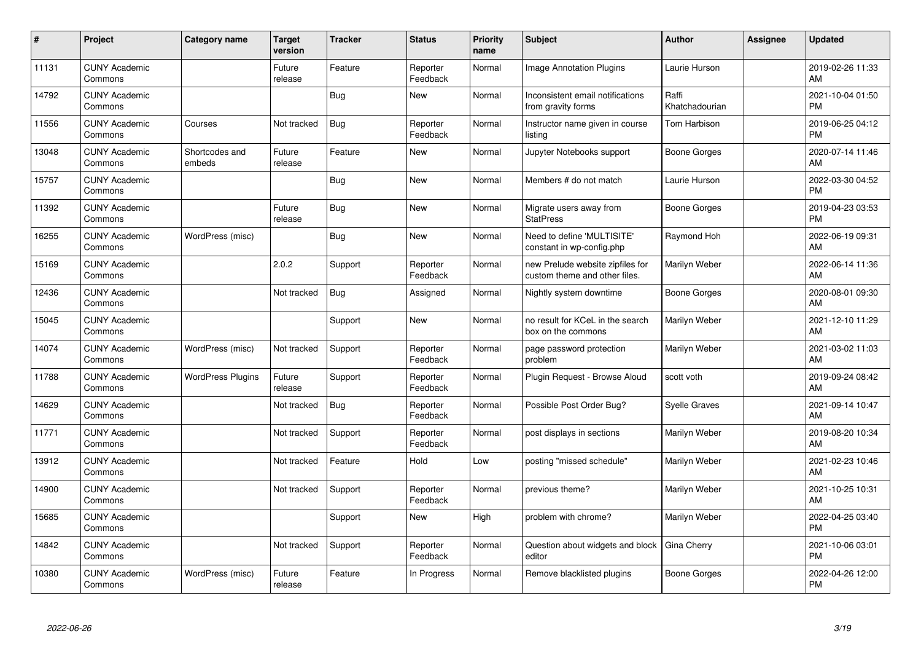| $\#$  | Project                         | <b>Category name</b>     | <b>Target</b><br>version | <b>Tracker</b> | <b>Status</b>        | <b>Priority</b><br>name | <b>Subject</b>                                                    | <b>Author</b>           | <b>Assignee</b> | <b>Updated</b>                |
|-------|---------------------------------|--------------------------|--------------------------|----------------|----------------------|-------------------------|-------------------------------------------------------------------|-------------------------|-----------------|-------------------------------|
| 11131 | <b>CUNY Academic</b><br>Commons |                          | Future<br>release        | Feature        | Reporter<br>Feedback | Normal                  | <b>Image Annotation Plugins</b>                                   | Laurie Hurson           |                 | 2019-02-26 11:33<br>AM        |
| 14792 | <b>CUNY Academic</b><br>Commons |                          |                          | Bug            | <b>New</b>           | Normal                  | Inconsistent email notifications<br>from gravity forms            | Raffi<br>Khatchadourian |                 | 2021-10-04 01:50<br><b>PM</b> |
| 11556 | <b>CUNY Academic</b><br>Commons | Courses                  | Not tracked              | Bug            | Reporter<br>Feedback | Normal                  | Instructor name given in course<br>listing                        | <b>Tom Harbison</b>     |                 | 2019-06-25 04:12<br><b>PM</b> |
| 13048 | <b>CUNY Academic</b><br>Commons | Shortcodes and<br>embeds | Future<br>release        | Feature        | <b>New</b>           | Normal                  | Jupyter Notebooks support                                         | Boone Gorges            |                 | 2020-07-14 11:46<br>AM        |
| 15757 | <b>CUNY Academic</b><br>Commons |                          |                          | <b>Bug</b>     | <b>New</b>           | Normal                  | Members # do not match                                            | Laurie Hurson           |                 | 2022-03-30 04:52<br><b>PM</b> |
| 11392 | <b>CUNY Academic</b><br>Commons |                          | Future<br>release        | Bug            | <b>New</b>           | Normal                  | Migrate users away from<br><b>StatPress</b>                       | Boone Gorges            |                 | 2019-04-23 03:53<br><b>PM</b> |
| 16255 | <b>CUNY Academic</b><br>Commons | WordPress (misc)         |                          | Bug            | New                  | Normal                  | Need to define 'MULTISITE'<br>constant in wp-config.php           | Raymond Hoh             |                 | 2022-06-19 09:31<br>AM        |
| 15169 | <b>CUNY Academic</b><br>Commons |                          | 2.0.2                    | Support        | Reporter<br>Feedback | Normal                  | new Prelude website zipfiles for<br>custom theme and other files. | Marilyn Weber           |                 | 2022-06-14 11:36<br>AM        |
| 12436 | <b>CUNY Academic</b><br>Commons |                          | Not tracked              | Bug            | Assigned             | Normal                  | Nightly system downtime                                           | <b>Boone Gorges</b>     |                 | 2020-08-01 09:30<br>AM        |
| 15045 | <b>CUNY Academic</b><br>Commons |                          |                          | Support        | <b>New</b>           | Normal                  | no result for KCeL in the search<br>box on the commons            | Marilyn Weber           |                 | 2021-12-10 11:29<br>AM        |
| 14074 | <b>CUNY Academic</b><br>Commons | WordPress (misc)         | Not tracked              | Support        | Reporter<br>Feedback | Normal                  | page password protection<br>problem                               | Marilyn Weber           |                 | 2021-03-02 11:03<br>AM        |
| 11788 | <b>CUNY Academic</b><br>Commons | <b>WordPress Plugins</b> | Future<br>release        | Support        | Reporter<br>Feedback | Normal                  | Plugin Request - Browse Aloud                                     | scott voth              |                 | 2019-09-24 08:42<br>AM        |
| 14629 | <b>CUNY Academic</b><br>Commons |                          | Not tracked              | Bug            | Reporter<br>Feedback | Normal                  | Possible Post Order Bug?                                          | <b>Syelle Graves</b>    |                 | 2021-09-14 10:47<br>AM        |
| 11771 | <b>CUNY Academic</b><br>Commons |                          | Not tracked              | Support        | Reporter<br>Feedback | Normal                  | post displays in sections                                         | Marilyn Weber           |                 | 2019-08-20 10:34<br>AM        |
| 13912 | <b>CUNY Academic</b><br>Commons |                          | Not tracked              | Feature        | Hold                 | Low                     | posting "missed schedule"                                         | Marilyn Weber           |                 | 2021-02-23 10:46<br>AM        |
| 14900 | <b>CUNY Academic</b><br>Commons |                          | Not tracked              | Support        | Reporter<br>Feedback | Normal                  | previous theme?                                                   | Marilyn Weber           |                 | 2021-10-25 10:31<br>AM        |
| 15685 | <b>CUNY Academic</b><br>Commons |                          |                          | Support        | <b>New</b>           | High                    | problem with chrome?                                              | Marilyn Weber           |                 | 2022-04-25 03:40<br><b>PM</b> |
| 14842 | <b>CUNY Academic</b><br>Commons |                          | Not tracked              | Support        | Reporter<br>Feedback | Normal                  | Question about widgets and block<br>editor                        | Gina Cherry             |                 | 2021-10-06 03:01<br><b>PM</b> |
| 10380 | <b>CUNY Academic</b><br>Commons | WordPress (misc)         | Future<br>release        | Feature        | In Progress          | Normal                  | Remove blacklisted plugins                                        | Boone Gorges            |                 | 2022-04-26 12:00<br><b>PM</b> |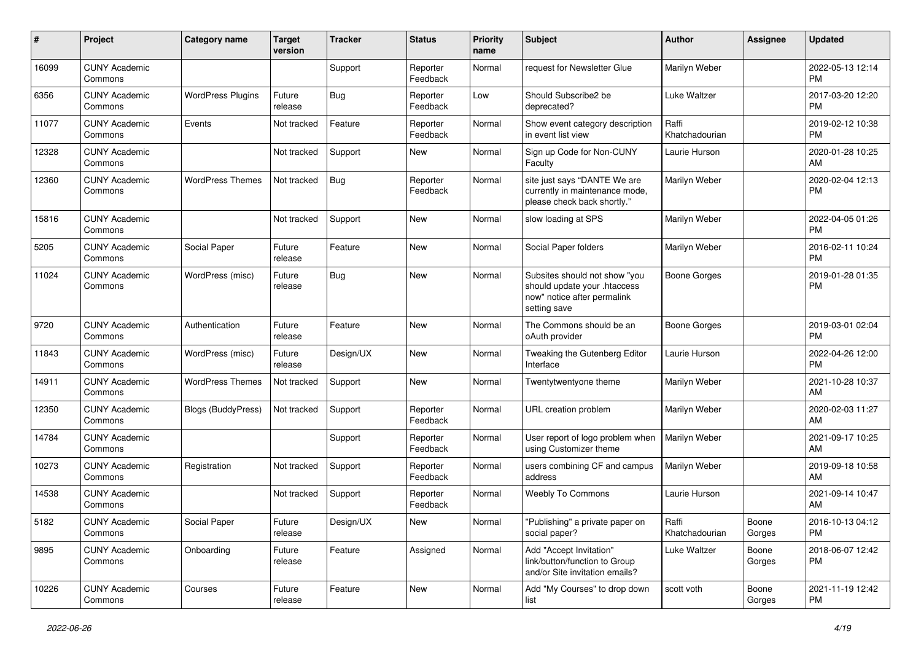| #     | Project                         | <b>Category name</b>     | <b>Target</b><br>version | <b>Tracker</b> | <b>Status</b>        | <b>Priority</b><br>name | Subject                                                                                                      | <b>Author</b>           | <b>Assignee</b> | <b>Updated</b>                |
|-------|---------------------------------|--------------------------|--------------------------|----------------|----------------------|-------------------------|--------------------------------------------------------------------------------------------------------------|-------------------------|-----------------|-------------------------------|
| 16099 | <b>CUNY Academic</b><br>Commons |                          |                          | Support        | Reporter<br>Feedback | Normal                  | request for Newsletter Glue                                                                                  | Marilyn Weber           |                 | 2022-05-13 12:14<br><b>PM</b> |
| 6356  | <b>CUNY Academic</b><br>Commons | <b>WordPress Plugins</b> | Future<br>release        | Bug            | Reporter<br>Feedback | Low                     | Should Subscribe2 be<br>deprecated?                                                                          | <b>Luke Waltzer</b>     |                 | 2017-03-20 12:20<br><b>PM</b> |
| 11077 | <b>CUNY Academic</b><br>Commons | Events                   | Not tracked              | Feature        | Reporter<br>Feedback | Normal                  | Show event category description<br>in event list view                                                        | Raffi<br>Khatchadourian |                 | 2019-02-12 10:38<br><b>PM</b> |
| 12328 | <b>CUNY Academic</b><br>Commons |                          | Not tracked              | Support        | New                  | Normal                  | Sign up Code for Non-CUNY<br>Faculty                                                                         | Laurie Hurson           |                 | 2020-01-28 10:25<br>AM        |
| 12360 | <b>CUNY Academic</b><br>Commons | <b>WordPress Themes</b>  | Not tracked              | Bug            | Reporter<br>Feedback | Normal                  | site just says "DANTE We are<br>currently in maintenance mode,<br>please check back shortly."                | Marilyn Weber           |                 | 2020-02-04 12:13<br><b>PM</b> |
| 15816 | <b>CUNY Academic</b><br>Commons |                          | Not tracked              | Support        | New                  | Normal                  | slow loading at SPS                                                                                          | Marilyn Weber           |                 | 2022-04-05 01:26<br><b>PM</b> |
| 5205  | <b>CUNY Academic</b><br>Commons | Social Paper             | Future<br>release        | Feature        | New                  | Normal                  | Social Paper folders                                                                                         | Marilyn Weber           |                 | 2016-02-11 10:24<br><b>PM</b> |
| 11024 | <b>CUNY Academic</b><br>Commons | WordPress (misc)         | Future<br>release        | Bug            | New                  | Normal                  | Subsites should not show "you<br>should update your .htaccess<br>now" notice after permalink<br>setting save | <b>Boone Gorges</b>     |                 | 2019-01-28 01:35<br><b>PM</b> |
| 9720  | <b>CUNY Academic</b><br>Commons | Authentication           | Future<br>release        | Feature        | New                  | Normal                  | The Commons should be an<br>oAuth provider                                                                   | Boone Gorges            |                 | 2019-03-01 02:04<br><b>PM</b> |
| 11843 | <b>CUNY Academic</b><br>Commons | WordPress (misc)         | Future<br>release        | Design/UX      | New                  | Normal                  | Tweaking the Gutenberg Editor<br>Interface                                                                   | Laurie Hurson           |                 | 2022-04-26 12:00<br><b>PM</b> |
| 14911 | <b>CUNY Academic</b><br>Commons | <b>WordPress Themes</b>  | Not tracked              | Support        | <b>New</b>           | Normal                  | Twentytwentyone theme                                                                                        | Marilyn Weber           |                 | 2021-10-28 10:37<br>AM        |
| 12350 | <b>CUNY Academic</b><br>Commons | Blogs (BuddyPress)       | Not tracked              | Support        | Reporter<br>Feedback | Normal                  | URL creation problem                                                                                         | Marilyn Weber           |                 | 2020-02-03 11:27<br>AM        |
| 14784 | <b>CUNY Academic</b><br>Commons |                          |                          | Support        | Reporter<br>Feedback | Normal                  | User report of logo problem when<br>using Customizer theme                                                   | Marilyn Weber           |                 | 2021-09-17 10:25<br>AM        |
| 10273 | <b>CUNY Academic</b><br>Commons | Registration             | Not tracked              | Support        | Reporter<br>Feedback | Normal                  | users combining CF and campus<br>address                                                                     | Marilyn Weber           |                 | 2019-09-18 10:58<br>AM        |
| 14538 | <b>CUNY Academic</b><br>Commons |                          | Not tracked              | Support        | Reporter<br>Feedback | Normal                  | <b>Weebly To Commons</b>                                                                                     | Laurie Hurson           |                 | 2021-09-14 10:47<br>AM        |
| 5182  | <b>CUNY Academic</b><br>Commons | Social Paper             | Future<br>release        | Design/UX      | New                  | Normal                  | "Publishing" a private paper on<br>social paper?                                                             | Raffi<br>Khatchadourian | Boone<br>Gorges | 2016-10-13 04:12<br><b>PM</b> |
| 9895  | <b>CUNY Academic</b><br>Commons | Onboarding               | Future<br>release        | Feature        | Assigned             | Normal                  | Add "Accept Invitation"<br>link/button/function to Group<br>and/or Site invitation emails?                   | Luke Waltzer            | Boone<br>Gorges | 2018-06-07 12:42<br><b>PM</b> |
| 10226 | <b>CUNY Academic</b><br>Commons | Courses                  | Future<br>release        | Feature        | New                  | Normal                  | Add "My Courses" to drop down<br>list                                                                        | scott voth              | Boone<br>Gorges | 2021-11-19 12:42<br><b>PM</b> |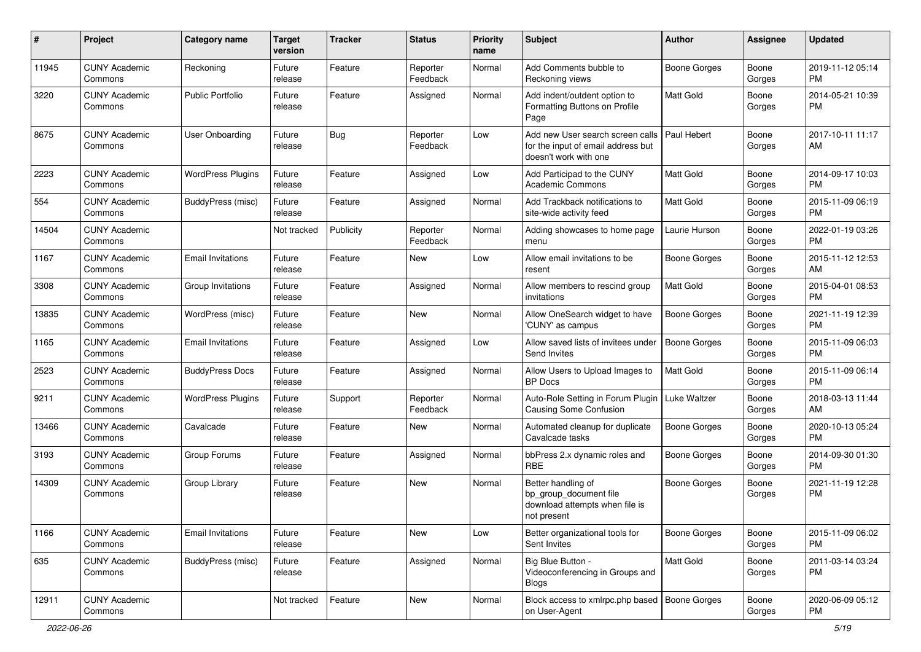| #     | Project                         | <b>Category name</b>     | <b>Target</b><br>version | <b>Tracker</b> | <b>Status</b>        | <b>Priority</b><br>name | <b>Subject</b>                                                                                  | Author              | Assignee        | <b>Updated</b>                |
|-------|---------------------------------|--------------------------|--------------------------|----------------|----------------------|-------------------------|-------------------------------------------------------------------------------------------------|---------------------|-----------------|-------------------------------|
| 11945 | <b>CUNY Academic</b><br>Commons | Reckoning                | Future<br>release        | Feature        | Reporter<br>Feedback | Normal                  | Add Comments bubble to<br>Reckoning views                                                       | <b>Boone Gorges</b> | Boone<br>Gorges | 2019-11-12 05:14<br><b>PM</b> |
| 3220  | <b>CUNY Academic</b><br>Commons | <b>Public Portfolio</b>  | Future<br>release        | Feature        | Assigned             | Normal                  | Add indent/outdent option to<br>Formatting Buttons on Profile<br>Page                           | Matt Gold           | Boone<br>Gorges | 2014-05-21 10:39<br><b>PM</b> |
| 8675  | <b>CUNY Academic</b><br>Commons | <b>User Onboarding</b>   | Future<br>release        | Bug            | Reporter<br>Feedback | Low                     | Add new User search screen calls<br>for the input of email address but<br>doesn't work with one | Paul Hebert         | Boone<br>Gorges | 2017-10-11 11:17<br>AM        |
| 2223  | <b>CUNY Academic</b><br>Commons | <b>WordPress Plugins</b> | Future<br>release        | Feature        | Assigned             | Low                     | Add Participad to the CUNY<br><b>Academic Commons</b>                                           | <b>Matt Gold</b>    | Boone<br>Gorges | 2014-09-17 10:03<br><b>PM</b> |
| 554   | <b>CUNY Academic</b><br>Commons | BuddyPress (misc)        | Future<br>release        | Feature        | Assigned             | Normal                  | Add Trackback notifications to<br>site-wide activity feed                                       | Matt Gold           | Boone<br>Gorges | 2015-11-09 06:19<br><b>PM</b> |
| 14504 | <b>CUNY Academic</b><br>Commons |                          | Not tracked              | Publicity      | Reporter<br>Feedback | Normal                  | Adding showcases to home page<br>menu                                                           | Laurie Hurson       | Boone<br>Gorges | 2022-01-19 03:26<br><b>PM</b> |
| 1167  | <b>CUNY Academic</b><br>Commons | <b>Email Invitations</b> | Future<br>release        | Feature        | <b>New</b>           | Low                     | Allow email invitations to be<br>resent                                                         | Boone Gorges        | Boone<br>Gorges | 2015-11-12 12:53<br>AM        |
| 3308  | <b>CUNY Academic</b><br>Commons | Group Invitations        | Future<br>release        | Feature        | Assigned             | Normal                  | Allow members to rescind group<br>invitations                                                   | <b>Matt Gold</b>    | Boone<br>Gorges | 2015-04-01 08:53<br><b>PM</b> |
| 13835 | <b>CUNY Academic</b><br>Commons | WordPress (misc)         | Future<br>release        | Feature        | <b>New</b>           | Normal                  | Allow OneSearch widget to have<br>'CUNY' as campus                                              | <b>Boone Gorges</b> | Boone<br>Gorges | 2021-11-19 12:39<br><b>PM</b> |
| 1165  | <b>CUNY Academic</b><br>Commons | <b>Email Invitations</b> | Future<br>release        | Feature        | Assigned             | Low                     | Allow saved lists of invitees under<br>Send Invites                                             | <b>Boone Gorges</b> | Boone<br>Gorges | 2015-11-09 06:03<br><b>PM</b> |
| 2523  | <b>CUNY Academic</b><br>Commons | <b>BuddyPress Docs</b>   | Future<br>release        | Feature        | Assigned             | Normal                  | Allow Users to Upload Images to<br><b>BP</b> Docs                                               | Matt Gold           | Boone<br>Gorges | 2015-11-09 06:14<br><b>PM</b> |
| 9211  | <b>CUNY Academic</b><br>Commons | <b>WordPress Plugins</b> | Future<br>release        | Support        | Reporter<br>Feedback | Normal                  | Auto-Role Setting in Forum Plugin<br>Causing Some Confusion                                     | Luke Waltzer        | Boone<br>Gorges | 2018-03-13 11:44<br>AM        |
| 13466 | <b>CUNY Academic</b><br>Commons | Cavalcade                | Future<br>release        | Feature        | <b>New</b>           | Normal                  | Automated cleanup for duplicate<br>Cavalcade tasks                                              | Boone Gorges        | Boone<br>Gorges | 2020-10-13 05:24<br><b>PM</b> |
| 3193  | <b>CUNY Academic</b><br>Commons | Group Forums             | Future<br>release        | Feature        | Assigned             | Normal                  | bbPress 2.x dynamic roles and<br><b>RBE</b>                                                     | <b>Boone Gorges</b> | Boone<br>Gorges | 2014-09-30 01:30<br><b>PM</b> |
| 14309 | <b>CUNY Academic</b><br>Commons | Group Library            | Future<br>release        | Feature        | <b>New</b>           | Normal                  | Better handling of<br>bp_group_document file<br>download attempts when file is<br>not present   | <b>Boone Gorges</b> | Boone<br>Gorges | 2021-11-19 12:28<br><b>PM</b> |
| 1166  | <b>CUNY Academic</b><br>Commons | <b>Email Invitations</b> | Future<br>release        | Feature        | New                  | Low                     | Better organizational tools for<br>Sent Invites                                                 | Boone Gorges        | Boone<br>Gorges | 2015-11-09 06:02<br><b>PM</b> |
| 635   | <b>CUNY Academic</b><br>Commons | BuddyPress (misc)        | Future<br>release        | Feature        | Assigned             | Normal                  | Big Blue Button -<br>Videoconferencing in Groups and<br><b>Blogs</b>                            | Matt Gold           | Boone<br>Gorges | 2011-03-14 03:24<br>PM        |
| 12911 | <b>CUNY Academic</b><br>Commons |                          | Not tracked              | Feature        | New                  | Normal                  | Block access to xmlrpc.php based   Boone Gorges<br>on User-Agent                                |                     | Boone<br>Gorges | 2020-06-09 05:12<br><b>PM</b> |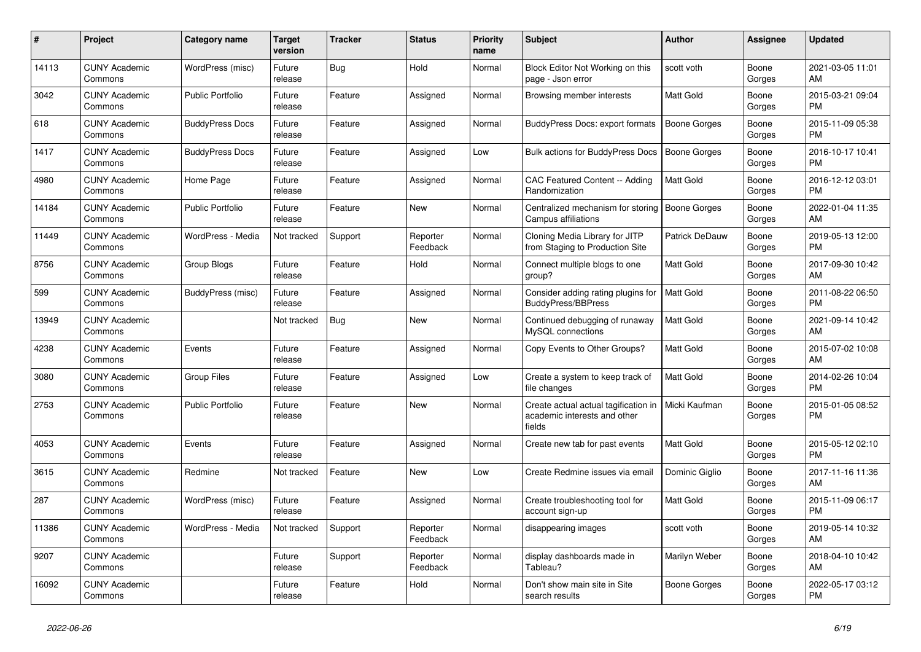| #     | Project                         | <b>Category name</b>     | Target<br>version | <b>Tracker</b> | <b>Status</b>        | <b>Priority</b><br>name | Subject                                                                        | Author              | <b>Assignee</b> | <b>Updated</b>                |
|-------|---------------------------------|--------------------------|-------------------|----------------|----------------------|-------------------------|--------------------------------------------------------------------------------|---------------------|-----------------|-------------------------------|
| 14113 | <b>CUNY Academic</b><br>Commons | WordPress (misc)         | Future<br>release | Bug            | Hold                 | Normal                  | Block Editor Not Working on this<br>page - Json error                          | scott voth          | Boone<br>Gorges | 2021-03-05 11:01<br>AM        |
| 3042  | <b>CUNY Academic</b><br>Commons | <b>Public Portfolio</b>  | Future<br>release | Feature        | Assigned             | Normal                  | Browsing member interests                                                      | Matt Gold           | Boone<br>Gorges | 2015-03-21 09:04<br><b>PM</b> |
| 618   | CUNY Academic<br>Commons        | <b>BuddyPress Docs</b>   | Future<br>release | Feature        | Assigned             | Normal                  | <b>BuddyPress Docs: export formats</b>                                         | <b>Boone Gorges</b> | Boone<br>Gorges | 2015-11-09 05:38<br><b>PM</b> |
| 1417  | <b>CUNY Academic</b><br>Commons | <b>BuddyPress Docs</b>   | Future<br>release | Feature        | Assigned             | Low                     | Bulk actions for BuddyPress Docs                                               | <b>Boone Gorges</b> | Boone<br>Gorges | 2016-10-17 10:41<br><b>PM</b> |
| 4980  | <b>CUNY Academic</b><br>Commons | Home Page                | Future<br>release | Feature        | Assigned             | Normal                  | <b>CAC Featured Content -- Adding</b><br>Randomization                         | Matt Gold           | Boone<br>Gorges | 2016-12-12 03:01<br><b>PM</b> |
| 14184 | <b>CUNY Academic</b><br>Commons | <b>Public Portfolio</b>  | Future<br>release | Feature        | <b>New</b>           | Normal                  | Centralized mechanism for storing<br>Campus affiliations                       | <b>Boone Gorges</b> | Boone<br>Gorges | 2022-01-04 11:35<br>AM        |
| 11449 | <b>CUNY Academic</b><br>Commons | WordPress - Media        | Not tracked       | Support        | Reporter<br>Feedback | Normal                  | Cloning Media Library for JITP<br>from Staging to Production Site              | Patrick DeDauw      | Boone<br>Gorges | 2019-05-13 12:00<br><b>PM</b> |
| 8756  | <b>CUNY Academic</b><br>Commons | Group Blogs              | Future<br>release | Feature        | Hold                 | Normal                  | Connect multiple blogs to one<br>group?                                        | <b>Matt Gold</b>    | Boone<br>Gorges | 2017-09-30 10:42<br>AM        |
| 599   | <b>CUNY Academic</b><br>Commons | <b>BuddyPress</b> (misc) | Future<br>release | Feature        | Assigned             | Normal                  | Consider adding rating plugins for<br><b>BuddyPress/BBPress</b>                | <b>Matt Gold</b>    | Boone<br>Gorges | 2011-08-22 06:50<br><b>PM</b> |
| 13949 | <b>CUNY Academic</b><br>Commons |                          | Not tracked       | <b>Bug</b>     | <b>New</b>           | Normal                  | Continued debugging of runaway<br>MySQL connections                            | Matt Gold           | Boone<br>Gorges | 2021-09-14 10:42<br>AM        |
| 4238  | <b>CUNY Academic</b><br>Commons | Events                   | Future<br>release | Feature        | Assigned             | Normal                  | Copy Events to Other Groups?                                                   | <b>Matt Gold</b>    | Boone<br>Gorges | 2015-07-02 10:08<br>AM        |
| 3080  | <b>CUNY Academic</b><br>Commons | <b>Group Files</b>       | Future<br>release | Feature        | Assigned             | Low                     | Create a system to keep track of<br>file changes                               | <b>Matt Gold</b>    | Boone<br>Gorges | 2014-02-26 10:04<br><b>PM</b> |
| 2753  | <b>CUNY Academic</b><br>Commons | <b>Public Portfolio</b>  | Future<br>release | Feature        | <b>New</b>           | Normal                  | Create actual actual tagification in<br>academic interests and other<br>fields | Micki Kaufman       | Boone<br>Gorges | 2015-01-05 08:52<br><b>PM</b> |
| 4053  | <b>CUNY Academic</b><br>Commons | Events                   | Future<br>release | Feature        | Assigned             | Normal                  | Create new tab for past events                                                 | Matt Gold           | Boone<br>Gorges | 2015-05-12 02:10<br><b>PM</b> |
| 3615  | <b>CUNY Academic</b><br>Commons | Redmine                  | Not tracked       | Feature        | <b>New</b>           | Low                     | Create Redmine issues via email                                                | Dominic Giglio      | Boone<br>Gorges | 2017-11-16 11:36<br>AM        |
| 287   | <b>CUNY Academic</b><br>Commons | WordPress (misc)         | Future<br>release | Feature        | Assigned             | Normal                  | Create troubleshooting tool for<br>account sign-up                             | Matt Gold           | Boone<br>Gorges | 2015-11-09 06:17<br><b>PM</b> |
| 11386 | <b>CUNY Academic</b><br>Commons | WordPress - Media        | Not tracked       | Support        | Reporter<br>Feedback | Normal                  | disappearing images                                                            | scott voth          | Boone<br>Gorges | 2019-05-14 10:32<br>AM        |
| 9207  | <b>CUNY Academic</b><br>Commons |                          | Future<br>release | Support        | Reporter<br>Feedback | Normal                  | display dashboards made in<br>Tableau?                                         | Marilyn Weber       | Boone<br>Gorges | 2018-04-10 10:42<br>AM        |
| 16092 | <b>CUNY Academic</b><br>Commons |                          | Future<br>release | Feature        | Hold                 | Normal                  | Don't show main site in Site<br>search results                                 | Boone Gorges        | Boone<br>Gorges | 2022-05-17 03:12<br>PM.       |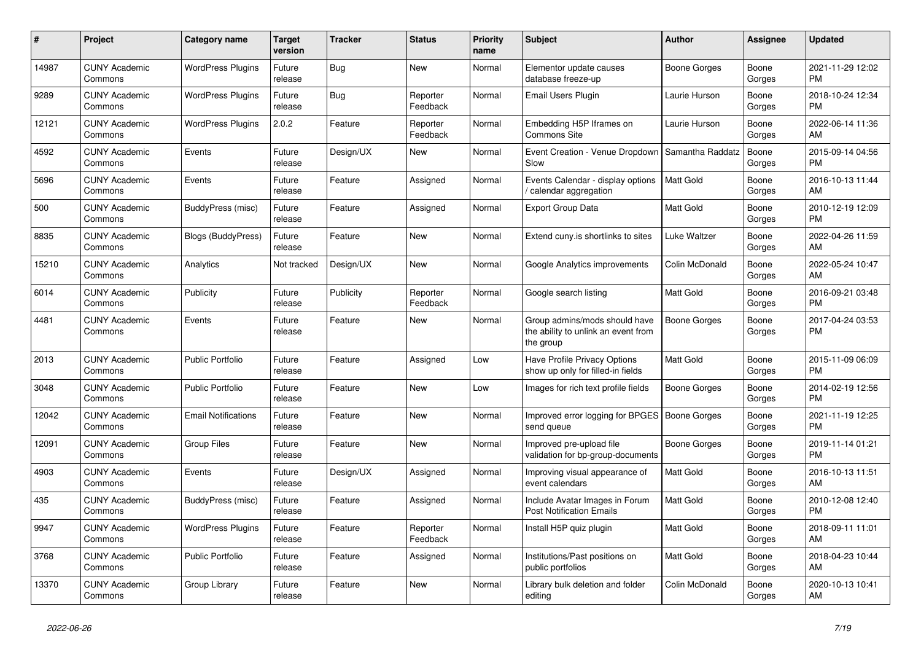| #     | <b>Project</b>                  | <b>Category name</b>       | Target<br>version | <b>Tracker</b> | <b>Status</b>        | <b>Priority</b><br>name | <b>Subject</b>                                                                    | <b>Author</b>       | Assignee        | <b>Updated</b>                |
|-------|---------------------------------|----------------------------|-------------------|----------------|----------------------|-------------------------|-----------------------------------------------------------------------------------|---------------------|-----------------|-------------------------------|
| 14987 | <b>CUNY Academic</b><br>Commons | <b>WordPress Plugins</b>   | Future<br>release | Bug            | <b>New</b>           | Normal                  | Elementor update causes<br>database freeze-up                                     | Boone Gorges        | Boone<br>Gorges | 2021-11-29 12:02<br><b>PM</b> |
| 9289  | <b>CUNY Academic</b><br>Commons | <b>WordPress Plugins</b>   | Future<br>release | <b>Bug</b>     | Reporter<br>Feedback | Normal                  | <b>Email Users Plugin</b>                                                         | Laurie Hurson       | Boone<br>Gorges | 2018-10-24 12:34<br><b>PM</b> |
| 12121 | <b>CUNY Academic</b><br>Commons | <b>WordPress Plugins</b>   | 2.0.2             | Feature        | Reporter<br>Feedback | Normal                  | Embedding H5P Iframes on<br><b>Commons Site</b>                                   | Laurie Hurson       | Boone<br>Gorges | 2022-06-14 11:36<br>AM        |
| 4592  | <b>CUNY Academic</b><br>Commons | Events                     | Future<br>release | Design/UX      | <b>New</b>           | Normal                  | Event Creation - Venue Dropdown<br>Slow                                           | Samantha Raddatz    | Boone<br>Gorges | 2015-09-14 04:56<br><b>PM</b> |
| 5696  | <b>CUNY Academic</b><br>Commons | Events                     | Future<br>release | Feature        | Assigned             | Normal                  | Events Calendar - display options<br>calendar aggregation                         | <b>Matt Gold</b>    | Boone<br>Gorges | 2016-10-13 11:44<br>AM        |
| 500   | <b>CUNY Academic</b><br>Commons | BuddyPress (misc)          | Future<br>release | Feature        | Assigned             | Normal                  | <b>Export Group Data</b>                                                          | Matt Gold           | Boone<br>Gorges | 2010-12-19 12:09<br><b>PM</b> |
| 8835  | <b>CUNY Academic</b><br>Commons | Blogs (BuddyPress)         | Future<br>release | Feature        | <b>New</b>           | Normal                  | Extend cuny.is shortlinks to sites                                                | Luke Waltzer        | Boone<br>Gorges | 2022-04-26 11:59<br>AM        |
| 15210 | <b>CUNY Academic</b><br>Commons | Analytics                  | Not tracked       | Design/UX      | <b>New</b>           | Normal                  | Google Analytics improvements                                                     | Colin McDonald      | Boone<br>Gorges | 2022-05-24 10:47<br>AM        |
| 6014  | <b>CUNY Academic</b><br>Commons | Publicity                  | Future<br>release | Publicity      | Reporter<br>Feedback | Normal                  | Google search listing                                                             | Matt Gold           | Boone<br>Gorges | 2016-09-21 03:48<br><b>PM</b> |
| 4481  | <b>CUNY Academic</b><br>Commons | Events                     | Future<br>release | Feature        | <b>New</b>           | Normal                  | Group admins/mods should have<br>the ability to unlink an event from<br>the group | <b>Boone Gorges</b> | Boone<br>Gorges | 2017-04-24 03:53<br><b>PM</b> |
| 2013  | <b>CUNY Academic</b><br>Commons | <b>Public Portfolio</b>    | Future<br>release | Feature        | Assigned             | Low                     | Have Profile Privacy Options<br>show up only for filled-in fields                 | Matt Gold           | Boone<br>Gorges | 2015-11-09 06:09<br><b>PM</b> |
| 3048  | <b>CUNY Academic</b><br>Commons | <b>Public Portfolio</b>    | Future<br>release | Feature        | <b>New</b>           | Low                     | Images for rich text profile fields                                               | Boone Gorges        | Boone<br>Gorges | 2014-02-19 12:56<br><b>PM</b> |
| 12042 | <b>CUNY Academic</b><br>Commons | <b>Email Notifications</b> | Future<br>release | Feature        | <b>New</b>           | Normal                  | Improved error logging for BPGES<br>send queue                                    | <b>Boone Gorges</b> | Boone<br>Gorges | 2021-11-19 12:25<br><b>PM</b> |
| 12091 | <b>CUNY Academic</b><br>Commons | <b>Group Files</b>         | Future<br>release | Feature        | <b>New</b>           | Normal                  | Improved pre-upload file<br>validation for bp-group-documents                     | Boone Gorges        | Boone<br>Gorges | 2019-11-14 01:21<br><b>PM</b> |
| 4903  | <b>CUNY Academic</b><br>Commons | Events                     | Future<br>release | Design/UX      | Assigned             | Normal                  | Improving visual appearance of<br>event calendars                                 | Matt Gold           | Boone<br>Gorges | 2016-10-13 11:51<br>AM        |
| 435   | <b>CUNY Academic</b><br>Commons | BuddyPress (misc)          | Future<br>release | Feature        | Assigned             | Normal                  | Include Avatar Images in Forum<br><b>Post Notification Emails</b>                 | <b>Matt Gold</b>    | Boone<br>Gorges | 2010-12-08 12:40<br><b>PM</b> |
| 9947  | <b>CUNY Academic</b><br>Commons | <b>WordPress Plugins</b>   | Future<br>release | Feature        | Reporter<br>Feedback | Normal                  | Install H5P quiz plugin                                                           | <b>Matt Gold</b>    | Boone<br>Gorges | 2018-09-11 11:01<br>AM        |
| 3768  | <b>CUNY Academic</b><br>Commons | <b>Public Portfolio</b>    | Future<br>release | Feature        | Assigned             | Normal                  | Institutions/Past positions on<br>public portfolios                               | <b>Matt Gold</b>    | Boone<br>Gorges | 2018-04-23 10:44<br>AM        |
| 13370 | <b>CUNY Academic</b><br>Commons | Group Library              | Future<br>release | Feature        | <b>New</b>           | Normal                  | Library bulk deletion and folder<br>editing                                       | Colin McDonald      | Boone<br>Gorges | 2020-10-13 10:41<br><b>AM</b> |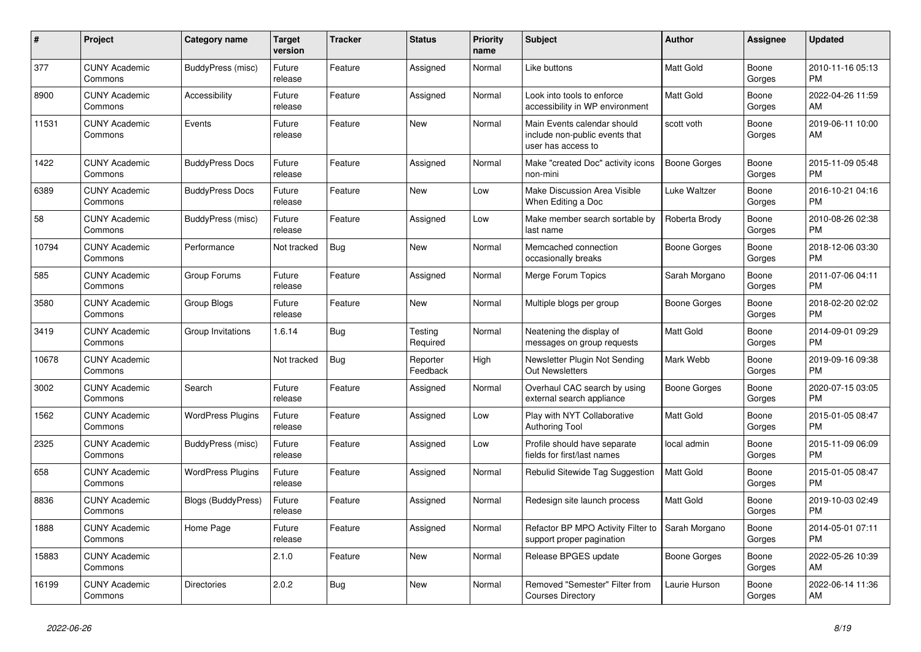| #     | <b>Project</b>                  | Category name            | <b>Target</b><br>version | <b>Tracker</b> | <b>Status</b>        | <b>Priority</b><br>name | <b>Subject</b>                                                                      | <b>Author</b>       | <b>Assignee</b> | <b>Updated</b>                |
|-------|---------------------------------|--------------------------|--------------------------|----------------|----------------------|-------------------------|-------------------------------------------------------------------------------------|---------------------|-----------------|-------------------------------|
| 377   | <b>CUNY Academic</b><br>Commons | BuddyPress (misc)        | Future<br>release        | Feature        | Assigned             | Normal                  | Like buttons                                                                        | <b>Matt Gold</b>    | Boone<br>Gorges | 2010-11-16 05:13<br><b>PM</b> |
| 8900  | <b>CUNY Academic</b><br>Commons | Accessibility            | Future<br>release        | Feature        | Assigned             | Normal                  | Look into tools to enforce<br>accessibility in WP environment                       | <b>Matt Gold</b>    | Boone<br>Gorges | 2022-04-26 11:59<br>AM        |
| 11531 | <b>CUNY Academic</b><br>Commons | Events                   | Future<br>release        | Feature        | <b>New</b>           | Normal                  | Main Events calendar should<br>include non-public events that<br>user has access to | scott voth          | Boone<br>Gorges | 2019-06-11 10:00<br>AM        |
| 1422  | <b>CUNY Academic</b><br>Commons | <b>BuddyPress Docs</b>   | Future<br>release        | Feature        | Assigned             | Normal                  | Make "created Doc" activity icons<br>non-mini                                       | <b>Boone Gorges</b> | Boone<br>Gorges | 2015-11-09 05:48<br><b>PM</b> |
| 6389  | <b>CUNY Academic</b><br>Commons | <b>BuddyPress Docs</b>   | Future<br>release        | Feature        | <b>New</b>           | Low                     | Make Discussion Area Visible<br>When Editing a Doc                                  | Luke Waltzer        | Boone<br>Gorges | 2016-10-21 04:16<br><b>PM</b> |
| 58    | <b>CUNY Academic</b><br>Commons | BuddyPress (misc)        | Future<br>release        | Feature        | Assigned             | Low                     | Make member search sortable by<br>last name                                         | Roberta Brody       | Boone<br>Gorges | 2010-08-26 02:38<br><b>PM</b> |
| 10794 | <b>CUNY Academic</b><br>Commons | Performance              | Not tracked              | <b>Bug</b>     | <b>New</b>           | Normal                  | Memcached connection<br>occasionally breaks                                         | Boone Gorges        | Boone<br>Gorges | 2018-12-06 03:30<br><b>PM</b> |
| 585   | <b>CUNY Academic</b><br>Commons | Group Forums             | Future<br>release        | Feature        | Assigned             | Normal                  | Merge Forum Topics                                                                  | Sarah Morgano       | Boone<br>Gorges | 2011-07-06 04:11<br><b>PM</b> |
| 3580  | <b>CUNY Academic</b><br>Commons | Group Blogs              | Future<br>release        | Feature        | <b>New</b>           | Normal                  | Multiple blogs per group                                                            | Boone Gorges        | Boone<br>Gorges | 2018-02-20 02:02<br><b>PM</b> |
| 3419  | <b>CUNY Academic</b><br>Commons | Group Invitations        | 1.6.14                   | Bug            | Testing<br>Required  | Normal                  | Neatening the display of<br>messages on group requests                              | Matt Gold           | Boone<br>Gorges | 2014-09-01 09:29<br><b>PM</b> |
| 10678 | <b>CUNY Academic</b><br>Commons |                          | Not tracked              | <b>Bug</b>     | Reporter<br>Feedback | High                    | Newsletter Plugin Not Sending<br><b>Out Newsletters</b>                             | Mark Webb           | Boone<br>Gorges | 2019-09-16 09:38<br><b>PM</b> |
| 3002  | <b>CUNY Academic</b><br>Commons | Search                   | Future<br>release        | Feature        | Assigned             | Normal                  | Overhaul CAC search by using<br>external search appliance                           | Boone Gorges        | Boone<br>Gorges | 2020-07-15 03:05<br><b>PM</b> |
| 1562  | <b>CUNY Academic</b><br>Commons | <b>WordPress Plugins</b> | Future<br>release        | Feature        | Assigned             | Low                     | Play with NYT Collaborative<br><b>Authoring Tool</b>                                | Matt Gold           | Boone<br>Gorges | 2015-01-05 08:47<br><b>PM</b> |
| 2325  | <b>CUNY Academic</b><br>Commons | BuddyPress (misc)        | Future<br>release        | Feature        | Assigned             | Low                     | Profile should have separate<br>fields for first/last names                         | local admin         | Boone<br>Gorges | 2015-11-09 06:09<br><b>PM</b> |
| 658   | <b>CUNY Academic</b><br>Commons | <b>WordPress Plugins</b> | Future<br>release        | Feature        | Assigned             | Normal                  | Rebulid Sitewide Tag Suggestion                                                     | <b>Matt Gold</b>    | Boone<br>Gorges | 2015-01-05 08:47<br><b>PM</b> |
| 8836  | <b>CUNY Academic</b><br>Commons | Blogs (BuddyPress)       | Future<br>release        | Feature        | Assigned             | Normal                  | Redesign site launch process                                                        | Matt Gold           | Boone<br>Gorges | 2019-10-03 02:49<br><b>PM</b> |
| 1888  | <b>CUNY Academic</b><br>Commons | Home Page                | Future<br>release        | Feature        | Assigned             | Normal                  | Refactor BP MPO Activity Filter to<br>support proper pagination                     | Sarah Morgano       | Boone<br>Gorges | 2014-05-01 07:11<br><b>PM</b> |
| 15883 | <b>CUNY Academic</b><br>Commons |                          | 2.1.0                    | Feature        | <b>New</b>           | Normal                  | Release BPGES update                                                                | Boone Gorges        | Boone<br>Gorges | 2022-05-26 10:39<br>AM        |
| 16199 | <b>CUNY Academic</b><br>Commons | Directories              | 2.0.2                    | Bug            | <b>New</b>           | Normal                  | Removed "Semester" Filter from<br><b>Courses Directory</b>                          | Laurie Hurson       | Boone<br>Gorges | 2022-06-14 11:36<br>AM        |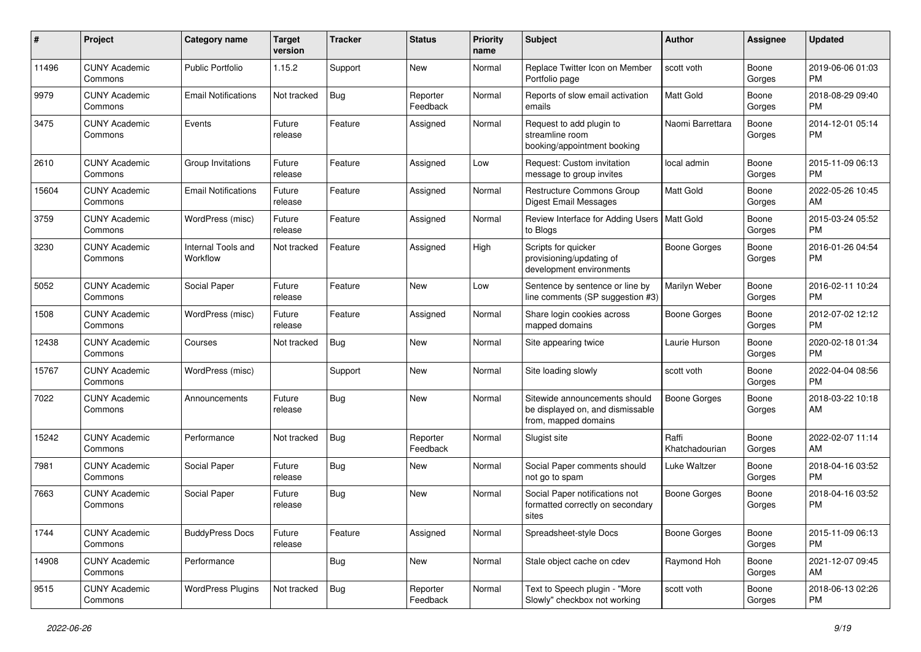| #     | Project                         | <b>Category name</b>           | <b>Target</b><br>version | <b>Tracker</b> | <b>Status</b>        | <b>Priority</b><br>name | <b>Subject</b>                                                                            | Author                  | <b>Assignee</b> | <b>Updated</b>                |
|-------|---------------------------------|--------------------------------|--------------------------|----------------|----------------------|-------------------------|-------------------------------------------------------------------------------------------|-------------------------|-----------------|-------------------------------|
| 11496 | <b>CUNY Academic</b><br>Commons | <b>Public Portfolio</b>        | 1.15.2                   | Support        | <b>New</b>           | Normal                  | Replace Twitter Icon on Member<br>Portfolio page                                          | scott voth              | Boone<br>Gorges | 2019-06-06 01:03<br><b>PM</b> |
| 9979  | <b>CUNY Academic</b><br>Commons | <b>Email Notifications</b>     | Not tracked              | Bug            | Reporter<br>Feedback | Normal                  | Reports of slow email activation<br>emails                                                | <b>Matt Gold</b>        | Boone<br>Gorges | 2018-08-29 09:40<br><b>PM</b> |
| 3475  | <b>CUNY Academic</b><br>Commons | Events                         | Future<br>release        | Feature        | Assigned             | Normal                  | Request to add plugin to<br>streamline room<br>booking/appointment booking                | Naomi Barrettara        | Boone<br>Gorges | 2014-12-01 05:14<br><b>PM</b> |
| 2610  | <b>CUNY Academic</b><br>Commons | Group Invitations              | Future<br>release        | Feature        | Assigned             | Low                     | Request: Custom invitation<br>message to group invites                                    | local admin             | Boone<br>Gorges | 2015-11-09 06:13<br><b>PM</b> |
| 15604 | <b>CUNY Academic</b><br>Commons | <b>Email Notifications</b>     | Future<br>release        | Feature        | Assigned             | Normal                  | <b>Restructure Commons Group</b><br><b>Digest Email Messages</b>                          | <b>Matt Gold</b>        | Boone<br>Gorges | 2022-05-26 10:45<br>AM        |
| 3759  | <b>CUNY Academic</b><br>Commons | WordPress (misc)               | Future<br>release        | Feature        | Assigned             | Normal                  | Review Interface for Adding Users   Matt Gold<br>to Blogs                                 |                         | Boone<br>Gorges | 2015-03-24 05:52<br><b>PM</b> |
| 3230  | <b>CUNY Academic</b><br>Commons | Internal Tools and<br>Workflow | Not tracked              | Feature        | Assigned             | High                    | Scripts for quicker<br>provisioning/updating of<br>development environments               | Boone Gorges            | Boone<br>Gorges | 2016-01-26 04:54<br><b>PM</b> |
| 5052  | <b>CUNY Academic</b><br>Commons | Social Paper                   | Future<br>release        | Feature        | <b>New</b>           | Low                     | Sentence by sentence or line by<br>line comments (SP suggestion #3)                       | Marilyn Weber           | Boone<br>Gorges | 2016-02-11 10:24<br><b>PM</b> |
| 1508  | <b>CUNY Academic</b><br>Commons | WordPress (misc)               | Future<br>release        | Feature        | Assigned             | Normal                  | Share login cookies across<br>mapped domains                                              | <b>Boone Gorges</b>     | Boone<br>Gorges | 2012-07-02 12:12<br><b>PM</b> |
| 12438 | <b>CUNY Academic</b><br>Commons | Courses                        | Not tracked              | <b>Bug</b>     | <b>New</b>           | Normal                  | Site appearing twice                                                                      | Laurie Hurson           | Boone<br>Gorges | 2020-02-18 01:34<br><b>PM</b> |
| 15767 | <b>CUNY Academic</b><br>Commons | WordPress (misc)               |                          | Support        | New                  | Normal                  | Site loading slowly                                                                       | scott voth              | Boone<br>Gorges | 2022-04-04 08:56<br><b>PM</b> |
| 7022  | <b>CUNY Academic</b><br>Commons | Announcements                  | Future<br>release        | <b>Bug</b>     | <b>New</b>           | Normal                  | Sitewide announcements should<br>be displayed on, and dismissable<br>from, mapped domains | <b>Boone Gorges</b>     | Boone<br>Gorges | 2018-03-22 10:18<br>AM        |
| 15242 | <b>CUNY Academic</b><br>Commons | Performance                    | Not tracked              | <b>Bug</b>     | Reporter<br>Feedback | Normal                  | Slugist site                                                                              | Raffi<br>Khatchadourian | Boone<br>Gorges | 2022-02-07 11:14<br>AM        |
| 7981  | <b>CUNY Academic</b><br>Commons | Social Paper                   | Future<br>release        | Bug            | New                  | Normal                  | Social Paper comments should<br>not go to spam                                            | Luke Waltzer            | Boone<br>Gorges | 2018-04-16 03:52<br><b>PM</b> |
| 7663  | <b>CUNY Academic</b><br>Commons | Social Paper                   | Future<br>release        | Bug            | <b>New</b>           | Normal                  | Social Paper notifications not<br>formatted correctly on secondary<br>sites               | Boone Gorges            | Boone<br>Gorges | 2018-04-16 03:52<br><b>PM</b> |
| 1744  | <b>CUNY Academic</b><br>Commons | <b>BuddyPress Docs</b>         | Future<br>release        | Feature        | Assigned             | Normal                  | Spreadsheet-style Docs                                                                    | Boone Gorges            | Boone<br>Gorges | 2015-11-09 06:13<br><b>PM</b> |
| 14908 | <b>CUNY Academic</b><br>Commons | Performance                    |                          | <b>Bug</b>     | New                  | Normal                  | Stale object cache on cdev                                                                | Raymond Hoh             | Boone<br>Gorges | 2021-12-07 09:45<br>AM        |
| 9515  | <b>CUNY Academic</b><br>Commons | <b>WordPress Plugins</b>       | Not tracked              | Bug            | Reporter<br>Feedback | Normal                  | Text to Speech plugin - "More<br>Slowly" checkbox not working                             | scott voth              | Boone<br>Gorges | 2018-06-13 02:26<br>PM        |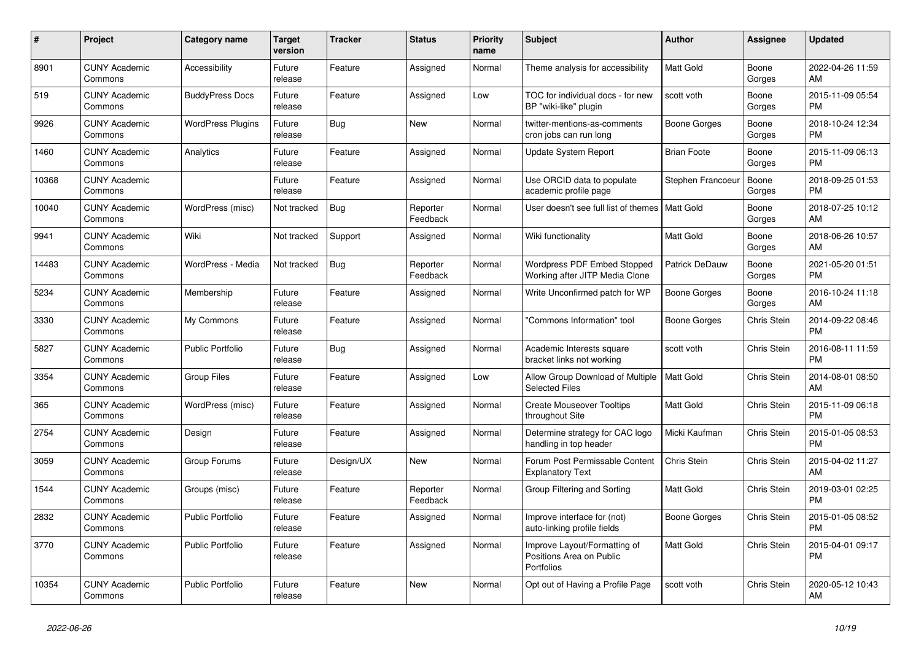| $\pmb{\#}$ | <b>Project</b>                  | Category name           | <b>Target</b><br>version | <b>Tracker</b> | <b>Status</b>        | <b>Priority</b><br>name | <b>Subject</b>                                                         | <b>Author</b>         | <b>Assignee</b> | <b>Updated</b>                |
|------------|---------------------------------|-------------------------|--------------------------|----------------|----------------------|-------------------------|------------------------------------------------------------------------|-----------------------|-----------------|-------------------------------|
| 8901       | <b>CUNY Academic</b><br>Commons | Accessibility           | Future<br>release        | Feature        | Assigned             | Normal                  | Theme analysis for accessibility                                       | <b>Matt Gold</b>      | Boone<br>Gorges | 2022-04-26 11:59<br>AM        |
| 519        | <b>CUNY Academic</b><br>Commons | <b>BuddyPress Docs</b>  | Future<br>release        | Feature        | Assigned             | Low                     | TOC for individual docs - for new<br>BP "wiki-like" plugin             | scott voth            | Boone<br>Gorges | 2015-11-09 05:54<br><b>PM</b> |
| 9926       | <b>CUNY Academic</b><br>Commons | WordPress Plugins       | Future<br>release        | Bug            | <b>New</b>           | Normal                  | twitter-mentions-as-comments<br>cron jobs can run long                 | Boone Gorges          | Boone<br>Gorges | 2018-10-24 12:34<br><b>PM</b> |
| 1460       | <b>CUNY Academic</b><br>Commons | Analytics               | Future<br>release        | Feature        | Assigned             | Normal                  | <b>Update System Report</b>                                            | <b>Brian Foote</b>    | Boone<br>Gorges | 2015-11-09 06:13<br><b>PM</b> |
| 10368      | <b>CUNY Academic</b><br>Commons |                         | Future<br>release        | Feature        | Assigned             | Normal                  | Use ORCID data to populate<br>academic profile page                    | Stephen Francoeur     | Boone<br>Gorges | 2018-09-25 01:53<br><b>PM</b> |
| 10040      | <b>CUNY Academic</b><br>Commons | WordPress (misc)        | Not tracked              | Bug            | Reporter<br>Feedback | Normal                  | User doesn't see full list of themes   Matt Gold                       |                       | Boone<br>Gorges | 2018-07-25 10:12<br>AM        |
| 9941       | <b>CUNY Academic</b><br>Commons | Wiki                    | Not tracked              | Support        | Assigned             | Normal                  | Wiki functionality                                                     | Matt Gold             | Boone<br>Gorges | 2018-06-26 10:57<br>AM        |
| 14483      | <b>CUNY Academic</b><br>Commons | WordPress - Media       | Not tracked              | <b>Bug</b>     | Reporter<br>Feedback | Normal                  | Wordpress PDF Embed Stopped<br>Working after JITP Media Clone          | <b>Patrick DeDauw</b> | Boone<br>Gorges | 2021-05-20 01:51<br>PM        |
| 5234       | <b>CUNY Academic</b><br>Commons | Membership              | Future<br>release        | Feature        | Assigned             | Normal                  | Write Unconfirmed patch for WP                                         | <b>Boone Gorges</b>   | Boone<br>Gorges | 2016-10-24 11:18<br>AM        |
| 3330       | <b>CUNY Academic</b><br>Commons | My Commons              | Future<br>release        | Feature        | Assigned             | Normal                  | 'Commons Information" tool                                             | <b>Boone Gorges</b>   | Chris Stein     | 2014-09-22 08:46<br><b>PM</b> |
| 5827       | <b>CUNY Academic</b><br>Commons | <b>Public Portfolio</b> | Future<br>release        | <b>Bug</b>     | Assigned             | Normal                  | Academic Interests square<br>bracket links not working                 | scott voth            | Chris Stein     | 2016-08-11 11:59<br><b>PM</b> |
| 3354       | <b>CUNY Academic</b><br>Commons | <b>Group Files</b>      | Future<br>release        | Feature        | Assigned             | Low                     | Allow Group Download of Multiple<br><b>Selected Files</b>              | Matt Gold             | Chris Stein     | 2014-08-01 08:50<br>AM        |
| 365        | <b>CUNY Academic</b><br>Commons | WordPress (misc)        | Future<br>release        | Feature        | Assigned             | Normal                  | <b>Create Mouseover Tooltips</b><br>throughout Site                    | <b>Matt Gold</b>      | Chris Stein     | 2015-11-09 06:18<br><b>PM</b> |
| 2754       | <b>CUNY Academic</b><br>Commons | Design                  | Future<br>release        | Feature        | Assigned             | Normal                  | Determine strategy for CAC logo<br>handling in top header              | Micki Kaufman         | Chris Stein     | 2015-01-05 08:53<br><b>PM</b> |
| 3059       | <b>CUNY Academic</b><br>Commons | Group Forums            | Future<br>release        | Design/UX      | <b>New</b>           | Normal                  | Forum Post Permissable Content<br><b>Explanatory Text</b>              | Chris Stein           | Chris Stein     | 2015-04-02 11:27<br>AM        |
| 1544       | <b>CUNY Academic</b><br>Commons | Groups (misc)           | Future<br>release        | Feature        | Reporter<br>Feedback | Normal                  | Group Filtering and Sorting                                            | <b>Matt Gold</b>      | Chris Stein     | 2019-03-01 02:25<br><b>PM</b> |
| 2832       | <b>CUNY Academic</b><br>Commons | <b>Public Portfolio</b> | Future<br>release        | Feature        | Assigned             | Normal                  | Improve interface for (not)<br>auto-linking profile fields             | Boone Gorges          | Chris Stein     | 2015-01-05 08:52<br><b>PM</b> |
| 3770       | <b>CUNY Academic</b><br>Commons | Public Portfolio        | Future<br>release        | Feature        | Assigned             | Normal                  | Improve Layout/Formatting of<br>Positions Area on Public<br>Portfolios | <b>Matt Gold</b>      | Chris Stein     | 2015-04-01 09:17<br><b>PM</b> |
| 10354      | <b>CUNY Academic</b><br>Commons | <b>Public Portfolio</b> | Future<br>release        | Feature        | <b>New</b>           | Normal                  | Opt out of Having a Profile Page                                       | scott voth            | Chris Stein     | 2020-05-12 10:43<br>AM        |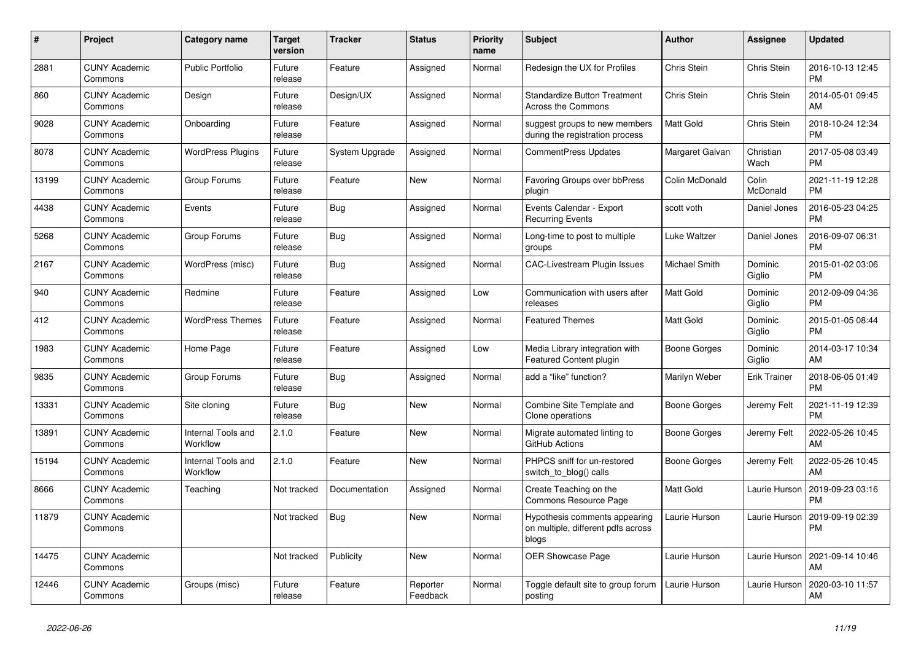| $\#$  | Project                         | Category name                  | <b>Target</b><br>version | <b>Tracker</b> | <b>Status</b>        | <b>Priority</b><br>name | <b>Subject</b>                                                               | <b>Author</b>        | Assignee            | <b>Updated</b>                |
|-------|---------------------------------|--------------------------------|--------------------------|----------------|----------------------|-------------------------|------------------------------------------------------------------------------|----------------------|---------------------|-------------------------------|
| 2881  | <b>CUNY Academic</b><br>Commons | <b>Public Portfolio</b>        | Future<br>release        | Feature        | Assigned             | Normal                  | Redesign the UX for Profiles                                                 | Chris Stein          | Chris Stein         | 2016-10-13 12:45<br><b>PM</b> |
| 860   | <b>CUNY Academic</b><br>Commons | Design                         | Future<br>release        | Design/UX      | Assigned             | Normal                  | <b>Standardize Button Treatment</b><br>Across the Commons                    | Chris Stein          | Chris Stein         | 2014-05-01 09:45<br>AM        |
| 9028  | <b>CUNY Academic</b><br>Commons | Onboarding                     | Future<br>release        | Feature        | Assigned             | Normal                  | suggest groups to new members<br>during the registration process             | Matt Gold            | Chris Stein         | 2018-10-24 12:34<br><b>PM</b> |
| 8078  | <b>CUNY Academic</b><br>Commons | <b>WordPress Plugins</b>       | Future<br>release        | System Upgrade | Assigned             | Normal                  | <b>CommentPress Updates</b>                                                  | Margaret Galvan      | Christian<br>Wach   | 2017-05-08 03:49<br><b>PM</b> |
| 13199 | <b>CUNY Academic</b><br>Commons | Group Forums                   | Future<br>release        | Feature        | <b>New</b>           | Normal                  | <b>Favoring Groups over bbPress</b><br>plugin                                | Colin McDonald       | Colin<br>McDonald   | 2021-11-19 12:28<br><b>PM</b> |
| 4438  | <b>CUNY Academic</b><br>Commons | Events                         | Future<br>release        | Bug            | Assigned             | Normal                  | Events Calendar - Export<br><b>Recurring Events</b>                          | scott voth           | Daniel Jones        | 2016-05-23 04:25<br><b>PM</b> |
| 5268  | <b>CUNY Academic</b><br>Commons | Group Forums                   | Future<br>release        | <b>Bug</b>     | Assigned             | Normal                  | Long-time to post to multiple<br>groups                                      | Luke Waltzer         | Daniel Jones        | 2016-09-07 06:31<br><b>PM</b> |
| 2167  | <b>CUNY Academic</b><br>Commons | WordPress (misc)               | Future<br>release        | Bug            | Assigned             | Normal                  | <b>CAC-Livestream Plugin Issues</b>                                          | <b>Michael Smith</b> | Dominic<br>Giglio   | 2015-01-02 03:06<br><b>PM</b> |
| 940   | <b>CUNY Academic</b><br>Commons | Redmine                        | Future<br>release        | Feature        | Assigned             | Low                     | Communication with users after<br>releases                                   | Matt Gold            | Dominic<br>Giglio   | 2012-09-09 04:36<br><b>PM</b> |
| 412   | <b>CUNY Academic</b><br>Commons | <b>WordPress Themes</b>        | Future<br>release        | Feature        | Assigned             | Normal                  | <b>Featured Themes</b>                                                       | Matt Gold            | Dominic<br>Giglio   | 2015-01-05 08:44<br><b>PM</b> |
| 1983  | <b>CUNY Academic</b><br>Commons | Home Page                      | Future<br>release        | Feature        | Assigned             | Low                     | Media Library integration with<br><b>Featured Content plugin</b>             | Boone Gorges         | Dominic<br>Giglio   | 2014-03-17 10:34<br>AM        |
| 9835  | <b>CUNY Academic</b><br>Commons | Group Forums                   | Future<br>release        | Bug            | Assigned             | Normal                  | add a "like" function?                                                       | Marilyn Weber        | <b>Erik Trainer</b> | 2018-06-05 01:49<br><b>PM</b> |
| 13331 | <b>CUNY Academic</b><br>Commons | Site cloning                   | Future<br>release        | Bug            | <b>New</b>           | Normal                  | Combine Site Template and<br>Clone operations                                | <b>Boone Gorges</b>  | Jeremy Felt         | 2021-11-19 12:39<br><b>PM</b> |
| 13891 | <b>CUNY Academic</b><br>Commons | Internal Tools and<br>Workflow | 2.1.0                    | Feature        | <b>New</b>           | Normal                  | Migrate automated linting to<br>GitHub Actions                               | Boone Gorges         | Jeremy Felt         | 2022-05-26 10:45<br>AM        |
| 15194 | <b>CUNY Academic</b><br>Commons | Internal Tools and<br>Workflow | 2.1.0                    | Feature        | <b>New</b>           | Normal                  | PHPCS sniff for un-restored<br>switch_to_blog() calls                        | Boone Gorges         | Jeremy Felt         | 2022-05-26 10:45<br>AM        |
| 8666  | <b>CUNY Academic</b><br>Commons | Teaching                       | Not tracked              | Documentation  | Assigned             | Normal                  | Create Teaching on the<br>Commons Resource Page                              | Matt Gold            | Laurie Hurson       | 2019-09-23 03:16<br><b>PM</b> |
| 11879 | <b>CUNY Academic</b><br>Commons |                                | Not tracked              | <b>Bug</b>     | <b>New</b>           | Normal                  | Hypothesis comments appearing<br>on multiple, different pdfs across<br>blogs | Laurie Hurson        | Laurie Hurson       | 2019-09-19 02:39<br><b>PM</b> |
| 14475 | <b>CUNY Academic</b><br>Commons |                                | Not tracked              | Publicity      | <b>New</b>           | Normal                  | <b>OER Showcase Page</b>                                                     | Laurie Hurson        | Laurie Hurson       | 2021-09-14 10:46<br>AM        |
| 12446 | <b>CUNY Academic</b><br>Commons | Groups (misc)                  | Future<br>release        | Feature        | Reporter<br>Feedback | Normal                  | Toggle default site to group forum<br>posting                                | Laurie Hurson        | Laurie Hurson       | 2020-03-10 11:57<br>AM        |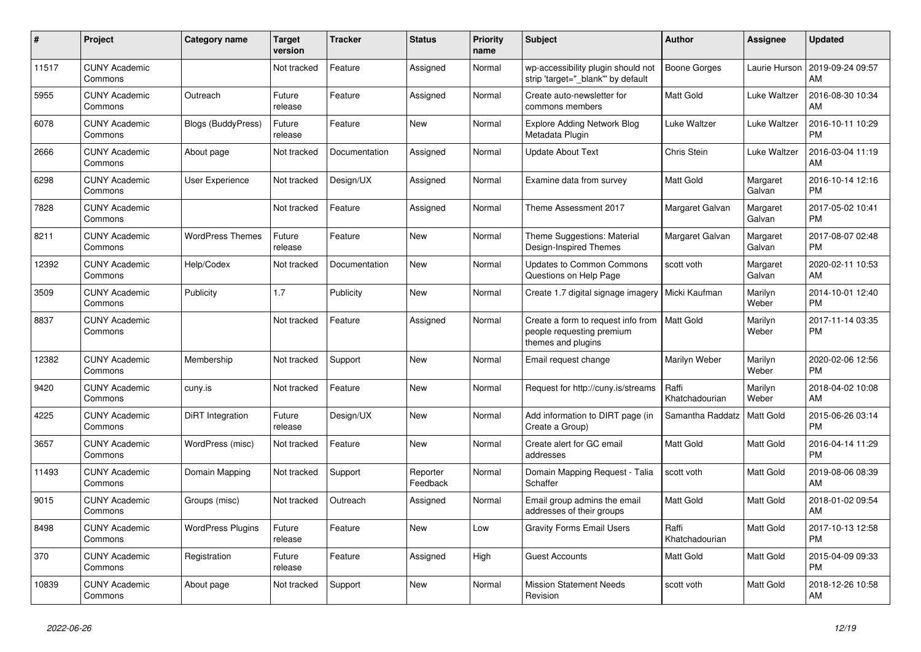| $\#$  | Project                         | Category name            | <b>Target</b><br>version | <b>Tracker</b> | <b>Status</b>        | <b>Priority</b><br>name | <b>Subject</b>                                                                        | <b>Author</b>           | Assignee           | <b>Updated</b>                |
|-------|---------------------------------|--------------------------|--------------------------|----------------|----------------------|-------------------------|---------------------------------------------------------------------------------------|-------------------------|--------------------|-------------------------------|
| 11517 | <b>CUNY Academic</b><br>Commons |                          | Not tracked              | Feature        | Assigned             | Normal                  | wp-accessibility plugin should not<br>strip 'target=" blank" by default               | <b>Boone Gorges</b>     | Laurie Hurson      | 2019-09-24 09:57<br>AM        |
| 5955  | <b>CUNY Academic</b><br>Commons | Outreach                 | Future<br>release        | Feature        | Assigned             | Normal                  | Create auto-newsletter for<br>commons members                                         | Matt Gold               | Luke Waltzer       | 2016-08-30 10:34<br>AM        |
| 6078  | <b>CUNY Academic</b><br>Commons | Blogs (BuddyPress)       | Future<br>release        | Feature        | New                  | Normal                  | <b>Explore Adding Network Blog</b><br>Metadata Plugin                                 | Luke Waltzer            | Luke Waltzer       | 2016-10-11 10:29<br><b>PM</b> |
| 2666  | <b>CUNY Academic</b><br>Commons | About page               | Not tracked              | Documentation  | Assigned             | Normal                  | <b>Update About Text</b>                                                              | Chris Stein             | Luke Waltzer       | 2016-03-04 11:19<br>AM        |
| 6298  | <b>CUNY Academic</b><br>Commons | User Experience          | Not tracked              | Design/UX      | Assigned             | Normal                  | Examine data from survey                                                              | Matt Gold               | Margaret<br>Galvan | 2016-10-14 12:16<br><b>PM</b> |
| 7828  | <b>CUNY Academic</b><br>Commons |                          | Not tracked              | Feature        | Assigned             | Normal                  | Theme Assessment 2017                                                                 | Margaret Galvan         | Margaret<br>Galvan | 2017-05-02 10:41<br><b>PM</b> |
| 8211  | <b>CUNY Academic</b><br>Commons | <b>WordPress Themes</b>  | Future<br>release        | Feature        | <b>New</b>           | Normal                  | Theme Suggestions: Material<br>Design-Inspired Themes                                 | Margaret Galvan         | Margaret<br>Galvan | 2017-08-07 02:48<br><b>PM</b> |
| 12392 | <b>CUNY Academic</b><br>Commons | Help/Codex               | Not tracked              | Documentation  | <b>New</b>           | Normal                  | <b>Updates to Common Commons</b><br>Questions on Help Page                            | scott voth              | Margaret<br>Galvan | 2020-02-11 10:53<br>AM        |
| 3509  | <b>CUNY Academic</b><br>Commons | Publicity                | 1.7                      | Publicity      | <b>New</b>           | Normal                  | Create 1.7 digital signage imagery                                                    | Micki Kaufman           | Marilyn<br>Weber   | 2014-10-01 12:40<br><b>PM</b> |
| 8837  | <b>CUNY Academic</b><br>Commons |                          | Not tracked              | Feature        | Assigned             | Normal                  | Create a form to request info from<br>people requesting premium<br>themes and plugins | <b>Matt Gold</b>        | Marilyn<br>Weber   | 2017-11-14 03:35<br><b>PM</b> |
| 12382 | <b>CUNY Academic</b><br>Commons | Membership               | Not tracked              | Support        | <b>New</b>           | Normal                  | Email request change                                                                  | Marilyn Weber           | Marilyn<br>Weber   | 2020-02-06 12:56<br><b>PM</b> |
| 9420  | <b>CUNY Academic</b><br>Commons | cuny.is                  | Not tracked              | Feature        | <b>New</b>           | Normal                  | Request for http://cuny.is/streams                                                    | Raffi<br>Khatchadourian | Marilyn<br>Weber   | 2018-04-02 10:08<br>AM        |
| 4225  | <b>CUNY Academic</b><br>Commons | DiRT Integration         | Future<br>release        | Design/UX      | <b>New</b>           | Normal                  | Add information to DIRT page (in<br>Create a Group)                                   | Samantha Raddatz        | Matt Gold          | 2015-06-26 03:14<br><b>PM</b> |
| 3657  | <b>CUNY Academic</b><br>Commons | WordPress (misc)         | Not tracked              | Feature        | <b>New</b>           | Normal                  | Create alert for GC email<br>addresses                                                | Matt Gold               | Matt Gold          | 2016-04-14 11:29<br><b>PM</b> |
| 11493 | <b>CUNY Academic</b><br>Commons | Domain Mapping           | Not tracked              | Support        | Reporter<br>Feedback | Normal                  | Domain Mapping Request - Talia<br>Schaffer                                            | scott voth              | Matt Gold          | 2019-08-06 08:39<br>AM        |
| 9015  | <b>CUNY Academic</b><br>Commons | Groups (misc)            | Not tracked              | Outreach       | Assigned             | Normal                  | Email group admins the email<br>addresses of their groups                             | Matt Gold               | <b>Matt Gold</b>   | 2018-01-02 09:54<br>AM        |
| 8498  | <b>CUNY Academic</b><br>Commons | <b>WordPress Plugins</b> | Future<br>release        | Feature        | <b>New</b>           | Low                     | <b>Gravity Forms Email Users</b>                                                      | Raffi<br>Khatchadourian | Matt Gold          | 2017-10-13 12:58<br><b>PM</b> |
| 370   | <b>CUNY Academic</b><br>Commons | Registration             | Future<br>release        | Feature        | Assigned             | High                    | <b>Guest Accounts</b>                                                                 | Matt Gold               | Matt Gold          | 2015-04-09 09:33<br><b>PM</b> |
| 10839 | <b>CUNY Academic</b><br>Commons | About page               | Not tracked              | Support        | <b>New</b>           | Normal                  | <b>Mission Statement Needs</b><br>Revision                                            | scott voth              | Matt Gold          | 2018-12-26 10:58<br>AM        |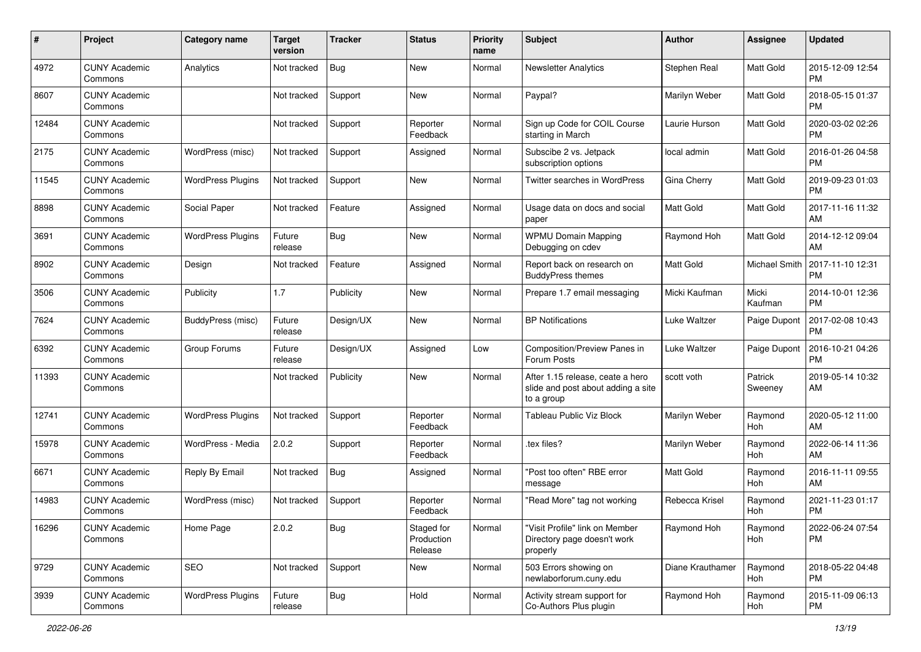| #     | Project                         | <b>Category name</b>     | <b>Target</b><br>version | <b>Tracker</b> | <b>Status</b>                       | <b>Priority</b><br>name | <b>Subject</b>                                                                       | <b>Author</b>    | <b>Assignee</b>    | <b>Updated</b>                |
|-------|---------------------------------|--------------------------|--------------------------|----------------|-------------------------------------|-------------------------|--------------------------------------------------------------------------------------|------------------|--------------------|-------------------------------|
| 4972  | <b>CUNY Academic</b><br>Commons | Analytics                | Not tracked              | <b>Bug</b>     | <b>New</b>                          | Normal                  | <b>Newsletter Analytics</b>                                                          | Stephen Real     | Matt Gold          | 2015-12-09 12:54<br><b>PM</b> |
| 8607  | <b>CUNY Academic</b><br>Commons |                          | Not tracked              | Support        | <b>New</b>                          | Normal                  | Paypal?                                                                              | Marilyn Weber    | Matt Gold          | 2018-05-15 01:37<br><b>PM</b> |
| 12484 | <b>CUNY Academic</b><br>Commons |                          | Not tracked              | Support        | Reporter<br>Feedback                | Normal                  | Sign up Code for COIL Course<br>starting in March                                    | Laurie Hurson    | Matt Gold          | 2020-03-02 02:26<br><b>PM</b> |
| 2175  | <b>CUNY Academic</b><br>Commons | WordPress (misc)         | Not tracked              | Support        | Assigned                            | Normal                  | Subscibe 2 vs. Jetpack<br>subscription options                                       | local admin      | <b>Matt Gold</b>   | 2016-01-26 04:58<br><b>PM</b> |
| 11545 | <b>CUNY Academic</b><br>Commons | <b>WordPress Plugins</b> | Not tracked              | Support        | <b>New</b>                          | Normal                  | Twitter searches in WordPress                                                        | Gina Cherry      | <b>Matt Gold</b>   | 2019-09-23 01:03<br><b>PM</b> |
| 8898  | <b>CUNY Academic</b><br>Commons | Social Paper             | Not tracked              | Feature        | Assigned                            | Normal                  | Usage data on docs and social<br>paper                                               | <b>Matt Gold</b> | <b>Matt Gold</b>   | 2017-11-16 11:32<br>AM        |
| 3691  | <b>CUNY Academic</b><br>Commons | <b>WordPress Plugins</b> | Future<br>release        | <b>Bug</b>     | New                                 | Normal                  | <b>WPMU Domain Mapping</b><br>Debugging on cdev                                      | Raymond Hoh      | <b>Matt Gold</b>   | 2014-12-12 09:04<br>AM        |
| 8902  | <b>CUNY Academic</b><br>Commons | Design                   | Not tracked              | Feature        | Assigned                            | Normal                  | Report back on research on<br><b>BuddyPress themes</b>                               | <b>Matt Gold</b> | Michael Smith      | 2017-11-10 12:31<br>PM        |
| 3506  | <b>CUNY Academic</b><br>Commons | Publicity                | 1.7                      | Publicity      | <b>New</b>                          | Normal                  | Prepare 1.7 email messaging                                                          | Micki Kaufman    | Micki<br>Kaufman   | 2014-10-01 12:36<br><b>PM</b> |
| 7624  | <b>CUNY Academic</b><br>Commons | BuddyPress (misc)        | Future<br>release        | Design/UX      | <b>New</b>                          | Normal                  | <b>BP Notifications</b>                                                              | Luke Waltzer     | Paige Dupont       | 2017-02-08 10:43<br>PM        |
| 6392  | <b>CUNY Academic</b><br>Commons | Group Forums             | Future<br>release        | Design/UX      | Assigned                            | Low                     | Composition/Preview Panes in<br>Forum Posts                                          | Luke Waltzer     | Paige Dupont       | 2016-10-21 04:26<br><b>PM</b> |
| 11393 | <b>CUNY Academic</b><br>Commons |                          | Not tracked              | Publicity      | <b>New</b>                          | Normal                  | After 1.15 release, ceate a hero<br>slide and post about adding a site<br>to a group | scott voth       | Patrick<br>Sweeney | 2019-05-14 10:32<br>AM        |
| 12741 | <b>CUNY Academic</b><br>Commons | <b>WordPress Plugins</b> | Not tracked              | Support        | Reporter<br>Feedback                | Normal                  | <b>Tableau Public Viz Block</b>                                                      | Marilyn Weber    | Raymond<br>Hoh     | 2020-05-12 11:00<br>AM        |
| 15978 | <b>CUNY Academic</b><br>Commons | WordPress - Media        | 2.0.2                    | Support        | Reporter<br>Feedback                | Normal                  | .tex files?                                                                          | Marilyn Weber    | Raymond<br>Hoh     | 2022-06-14 11:36<br>AM        |
| 6671  | <b>CUNY Academic</b><br>Commons | Reply By Email           | Not tracked              | Bug            | Assigned                            | Normal                  | "Post too often" RBE error<br>message                                                | <b>Matt Gold</b> | Raymond<br>Hoh     | 2016-11-11 09:55<br>AM        |
| 14983 | <b>CUNY Academic</b><br>Commons | WordPress (misc)         | Not tracked              | Support        | Reporter<br>Feedback                | Normal                  | "Read More" tag not working                                                          | Rebecca Krisel   | Raymond<br>Hoh     | 2021-11-23 01:17<br><b>PM</b> |
| 16296 | <b>CUNY Academic</b><br>Commons | Home Page                | 2.0.2                    | <b>Bug</b>     | Staged for<br>Production<br>Release | Normal                  | "Visit Profile" link on Member<br>Directory page doesn't work<br>properly            | Raymond Hoh      | Raymond<br>Hoh     | 2022-06-24 07:54<br>PM        |
| 9729  | <b>CUNY Academic</b><br>Commons | <b>SEO</b>               | Not tracked              | Support        | New                                 | Normal                  | 503 Errors showing on<br>newlaborforum.cuny.edu                                      | Diane Krauthamer | Raymond<br>Hoh     | 2018-05-22 04:48<br>PM        |
| 3939  | <b>CUNY Academic</b><br>Commons | <b>WordPress Plugins</b> | Future<br>release        | <b>Bug</b>     | Hold                                | Normal                  | Activity stream support for<br>Co-Authors Plus plugin                                | Raymond Hoh      | Raymond<br>Hoh     | 2015-11-09 06:13<br>PM        |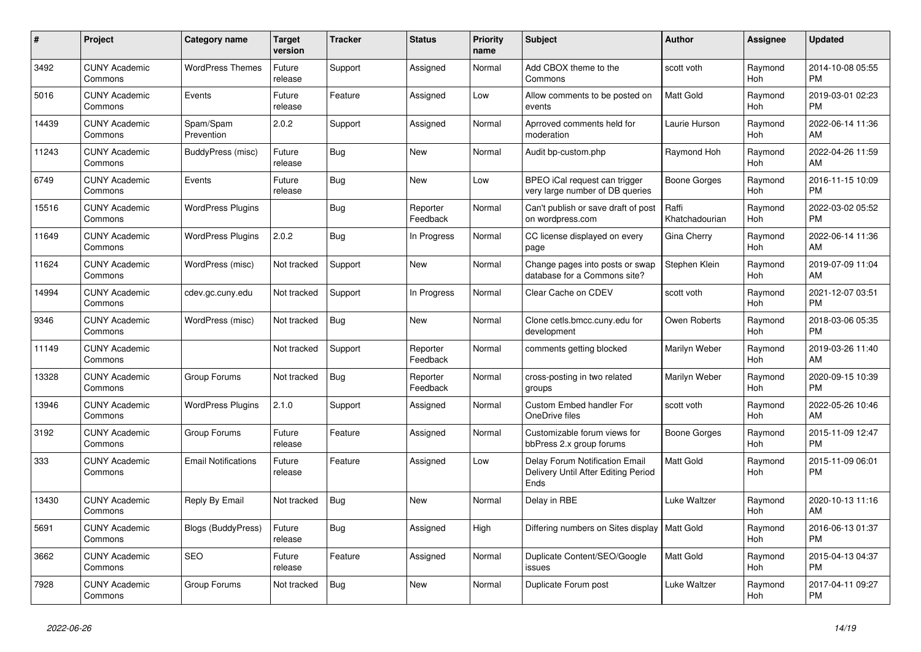| #     | <b>Project</b>                  | Category name              | <b>Target</b><br>version | <b>Tracker</b> | <b>Status</b>        | <b>Priority</b><br>name | <b>Subject</b>                                                                | <b>Author</b>           | <b>Assignee</b>       | <b>Updated</b>                |
|-------|---------------------------------|----------------------------|--------------------------|----------------|----------------------|-------------------------|-------------------------------------------------------------------------------|-------------------------|-----------------------|-------------------------------|
| 3492  | <b>CUNY Academic</b><br>Commons | <b>WordPress Themes</b>    | Future<br>release        | Support        | Assigned             | Normal                  | Add CBOX theme to the<br>Commons                                              | scott voth              | Raymond<br><b>Hoh</b> | 2014-10-08 05:55<br><b>PM</b> |
| 5016  | <b>CUNY Academic</b><br>Commons | Events                     | Future<br>release        | Feature        | Assigned             | Low                     | Allow comments to be posted on<br>events                                      | <b>Matt Gold</b>        | Raymond<br>Hoh        | 2019-03-01 02:23<br><b>PM</b> |
| 14439 | <b>CUNY Academic</b><br>Commons | Spam/Spam<br>Prevention    | 2.0.2                    | Support        | Assigned             | Normal                  | Aprroved comments held for<br>moderation                                      | Laurie Hurson           | Raymond<br><b>Hoh</b> | 2022-06-14 11:36<br>AM        |
| 11243 | <b>CUNY Academic</b><br>Commons | BuddyPress (misc)          | Future<br>release        | <b>Bug</b>     | <b>New</b>           | Normal                  | Audit bp-custom.php                                                           | Raymond Hoh             | Raymond<br>Hoh        | 2022-04-26 11:59<br>AM        |
| 6749  | <b>CUNY Academic</b><br>Commons | Events                     | Future<br>release        | <b>Bug</b>     | New                  | Low                     | BPEO iCal request can trigger<br>very large number of DB queries              | <b>Boone Gorges</b>     | Raymond<br>Hoh        | 2016-11-15 10:09<br><b>PM</b> |
| 15516 | <b>CUNY Academic</b><br>Commons | <b>WordPress Plugins</b>   |                          | Bug            | Reporter<br>Feedback | Normal                  | Can't publish or save draft of post<br>on wordpress.com                       | Raffi<br>Khatchadourian | Raymond<br><b>Hoh</b> | 2022-03-02 05:52<br><b>PM</b> |
| 11649 | <b>CUNY Academic</b><br>Commons | <b>WordPress Plugins</b>   | 2.0.2                    | <b>Bug</b>     | In Progress          | Normal                  | CC license displayed on every<br>page                                         | Gina Cherry             | Raymond<br><b>Hoh</b> | 2022-06-14 11:36<br>AM        |
| 11624 | <b>CUNY Academic</b><br>Commons | WordPress (misc)           | Not tracked              | Support        | <b>New</b>           | Normal                  | Change pages into posts or swap<br>database for a Commons site?               | Stephen Klein           | Raymond<br>Hoh        | 2019-07-09 11:04<br>AM        |
| 14994 | <b>CUNY Academic</b><br>Commons | cdev.gc.cuny.edu           | Not tracked              | Support        | In Progress          | Normal                  | Clear Cache on CDEV                                                           | scott voth              | Raymond<br><b>Hoh</b> | 2021-12-07 03:51<br><b>PM</b> |
| 9346  | <b>CUNY Academic</b><br>Commons | WordPress (misc)           | Not tracked              | Bug            | <b>New</b>           | Normal                  | Clone cetls.bmcc.cuny.edu for<br>development                                  | Owen Roberts            | Raymond<br>Hoh        | 2018-03-06 05:35<br><b>PM</b> |
| 11149 | <b>CUNY Academic</b><br>Commons |                            | Not tracked              | Support        | Reporter<br>Feedback | Normal                  | comments getting blocked                                                      | Marilyn Weber           | Raymond<br>Hoh        | 2019-03-26 11:40<br>AM        |
| 13328 | <b>CUNY Academic</b><br>Commons | Group Forums               | Not tracked              | <b>Bug</b>     | Reporter<br>Feedback | Normal                  | cross-posting in two related<br>groups                                        | Marilyn Weber           | Raymond<br>Hoh        | 2020-09-15 10:39<br><b>PM</b> |
| 13946 | <b>CUNY Academic</b><br>Commons | <b>WordPress Plugins</b>   | 2.1.0                    | Support        | Assigned             | Normal                  | Custom Embed handler For<br>OneDrive files                                    | scott voth              | Raymond<br><b>Hoh</b> | 2022-05-26 10:46<br>AM        |
| 3192  | <b>CUNY Academic</b><br>Commons | Group Forums               | Future<br>release        | Feature        | Assigned             | Normal                  | Customizable forum views for<br>bbPress 2.x group forums                      | Boone Gorges            | Raymond<br><b>Hoh</b> | 2015-11-09 12:47<br><b>PM</b> |
| 333   | <b>CUNY Academic</b><br>Commons | <b>Email Notifications</b> | Future<br>release        | Feature        | Assigned             | Low                     | Delay Forum Notification Email<br>Delivery Until After Editing Period<br>Ends | <b>Matt Gold</b>        | Raymond<br>Hoh        | 2015-11-09 06:01<br><b>PM</b> |
| 13430 | <b>CUNY Academic</b><br>Commons | Reply By Email             | Not tracked              | <b>Bug</b>     | <b>New</b>           | Normal                  | Delay in RBE                                                                  | Luke Waltzer            | Raymond<br><b>Hoh</b> | 2020-10-13 11:16<br>AM        |
| 5691  | <b>CUNY Academic</b><br>Commons | <b>Blogs (BuddyPress)</b>  | Future<br>release        | Bug            | Assigned             | High                    | Differing numbers on Sites display   Matt Gold                                |                         | Raymond<br><b>Hoh</b> | 2016-06-13 01:37<br><b>PM</b> |
| 3662  | <b>CUNY Academic</b><br>Commons | SEO                        | Future<br>release        | Feature        | Assigned             | Normal                  | Duplicate Content/SEO/Google<br>issues                                        | <b>Matt Gold</b>        | Raymond<br>Hoh        | 2015-04-13 04:37<br><b>PM</b> |
| 7928  | <b>CUNY Academic</b><br>Commons | Group Forums               | Not tracked              | Bug            | <b>New</b>           | Normal                  | Duplicate Forum post                                                          | Luke Waltzer            | Raymond<br>Hoh        | 2017-04-11 09:27<br><b>PM</b> |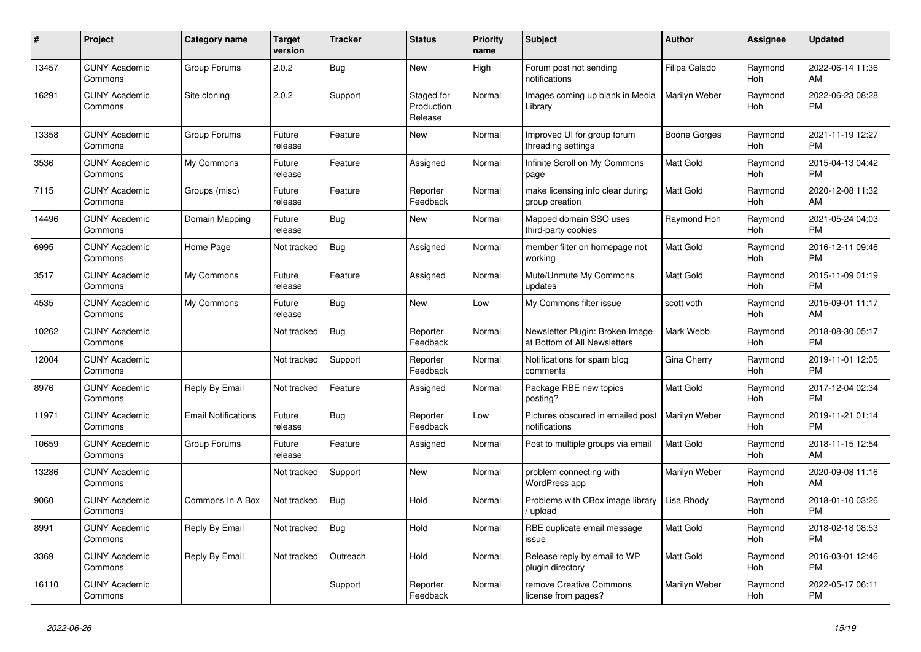| #     | <b>Project</b>                  | <b>Category name</b>       | <b>Target</b><br>version | Tracker    | <b>Status</b>                       | <b>Priority</b><br>name | <b>Subject</b>                                                  | <b>Author</b>    | <b>Assignee</b>       | <b>Updated</b>                |
|-------|---------------------------------|----------------------------|--------------------------|------------|-------------------------------------|-------------------------|-----------------------------------------------------------------|------------------|-----------------------|-------------------------------|
| 13457 | <b>CUNY Academic</b><br>Commons | Group Forums               | 2.0.2                    | <b>Bug</b> | <b>New</b>                          | High                    | Forum post not sending<br>notifications                         | Filipa Calado    | Raymond<br><b>Hoh</b> | 2022-06-14 11:36<br>AM        |
| 16291 | <b>CUNY Academic</b><br>Commons | Site cloning               | 2.0.2                    | Support    | Staged for<br>Production<br>Release | Normal                  | Images coming up blank in Media<br>Library                      | Marilyn Weber    | Raymond<br>Hoh        | 2022-06-23 08:28<br><b>PM</b> |
| 13358 | <b>CUNY Academic</b><br>Commons | Group Forums               | Future<br>release        | Feature    | <b>New</b>                          | Normal                  | Improved UI for group forum<br>threading settings               | Boone Gorges     | Raymond<br>Hoh        | 2021-11-19 12:27<br><b>PM</b> |
| 3536  | <b>CUNY Academic</b><br>Commons | My Commons                 | Future<br>release        | Feature    | Assigned                            | Normal                  | Infinite Scroll on My Commons<br>page                           | Matt Gold        | Raymond<br>Hoh        | 2015-04-13 04:42<br><b>PM</b> |
| 7115  | <b>CUNY Academic</b><br>Commons | Groups (misc)              | Future<br>release        | Feature    | Reporter<br>Feedback                | Normal                  | make licensing info clear during<br>group creation              | <b>Matt Gold</b> | Raymond<br>Hoh        | 2020-12-08 11:32<br>AM        |
| 14496 | <b>CUNY Academic</b><br>Commons | Domain Mapping             | Future<br>release        | Bug        | <b>New</b>                          | Normal                  | Mapped domain SSO uses<br>third-party cookies                   | Raymond Hoh      | Raymond<br><b>Hoh</b> | 2021-05-24 04:03<br><b>PM</b> |
| 6995  | <b>CUNY Academic</b><br>Commons | Home Page                  | Not tracked              | <b>Bug</b> | Assigned                            | Normal                  | member filter on homepage not<br>working                        | Matt Gold        | Raymond<br>Hoh        | 2016-12-11 09:46<br><b>PM</b> |
| 3517  | <b>CUNY Academic</b><br>Commons | My Commons                 | Future<br>release        | Feature    | Assigned                            | Normal                  | Mute/Unmute My Commons<br>updates                               | Matt Gold        | Raymond<br>Hoh        | 2015-11-09 01:19<br><b>PM</b> |
| 4535  | <b>CUNY Academic</b><br>Commons | My Commons                 | Future<br>release        | Bug        | <b>New</b>                          | Low                     | My Commons filter issue                                         | scott voth       | Raymond<br>Hoh        | 2015-09-01 11:17<br>AM        |
| 10262 | <b>CUNY Academic</b><br>Commons |                            | Not tracked              | <b>Bug</b> | Reporter<br>Feedback                | Normal                  | Newsletter Plugin: Broken Image<br>at Bottom of All Newsletters | Mark Webb        | Raymond<br>Hoh        | 2018-08-30 05:17<br><b>PM</b> |
| 12004 | <b>CUNY Academic</b><br>Commons |                            | Not tracked              | Support    | Reporter<br>Feedback                | Normal                  | Notifications for spam blog<br>comments                         | Gina Cherry      | Raymond<br>Hoh        | 2019-11-01 12:05<br><b>PM</b> |
| 8976  | <b>CUNY Academic</b><br>Commons | Reply By Email             | Not tracked              | Feature    | Assigned                            | Normal                  | Package RBE new topics<br>posting?                              | Matt Gold        | Raymond<br>Hoh        | 2017-12-04 02:34<br><b>PM</b> |
| 11971 | <b>CUNY Academic</b><br>Commons | <b>Email Notifications</b> | Future<br>release        | Bug        | Reporter<br>Feedback                | Low                     | Pictures obscured in emailed post<br>notifications              | Marilyn Weber    | Raymond<br>Hoh        | 2019-11-21 01:14<br><b>PM</b> |
| 10659 | <b>CUNY Academic</b><br>Commons | Group Forums               | Future<br>release        | Feature    | Assigned                            | Normal                  | Post to multiple groups via email                               | Matt Gold        | Raymond<br>Hoh        | 2018-11-15 12:54<br>AM        |
| 13286 | <b>CUNY Academic</b><br>Commons |                            | Not tracked              | Support    | New                                 | Normal                  | problem connecting with<br>WordPress app                        | Marilyn Weber    | Raymond<br>Hoh        | 2020-09-08 11:16<br>AM        |
| 9060  | <b>CUNY Academic</b><br>Commons | Commons In A Box           | Not tracked              | <b>Bug</b> | Hold                                | Normal                  | Problems with CBox image library<br>upload                      | Lisa Rhody       | Raymond<br>Hoh        | 2018-01-10 03:26<br><b>PM</b> |
| 8991  | <b>CUNY Academic</b><br>Commons | Reply By Email             | Not tracked              | Bug        | Hold                                | Normal                  | RBE duplicate email message<br>issue                            | Matt Gold        | Raymond<br>Hoh        | 2018-02-18 08:53<br><b>PM</b> |
| 3369  | <b>CUNY Academic</b><br>Commons | Reply By Email             | Not tracked              | Outreach   | Hold                                | Normal                  | Release reply by email to WP<br>plugin directory                | Matt Gold        | Raymond<br>Hoh        | 2016-03-01 12:46<br><b>PM</b> |
| 16110 | <b>CUNY Academic</b><br>Commons |                            |                          | Support    | Reporter<br>Feedback                | Normal                  | remove Creative Commons<br>license from pages?                  | Marilyn Weber    | Raymond<br>Hoh        | 2022-05-17 06:11<br><b>PM</b> |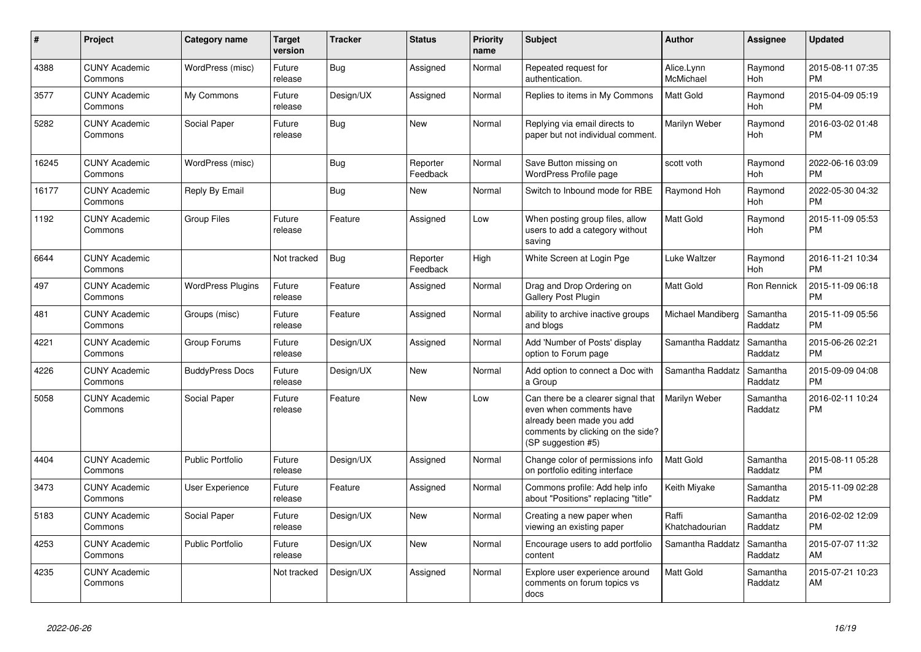| #     | <b>Project</b>                  | <b>Category name</b>     | <b>Target</b><br>version | <b>Tracker</b> | <b>Status</b>        | <b>Priority</b><br>name | <b>Subject</b>                                                                                                                                        | <b>Author</b>           | <b>Assignee</b>       | <b>Updated</b>                |
|-------|---------------------------------|--------------------------|--------------------------|----------------|----------------------|-------------------------|-------------------------------------------------------------------------------------------------------------------------------------------------------|-------------------------|-----------------------|-------------------------------|
| 4388  | <b>CUNY Academic</b><br>Commons | WordPress (misc)         | Future<br>release        | Bug            | Assigned             | Normal                  | Repeated request for<br>authentication.                                                                                                               | Alice.Lynn<br>McMichael | Raymond<br><b>Hoh</b> | 2015-08-11 07:35<br><b>PM</b> |
| 3577  | <b>CUNY Academic</b><br>Commons | My Commons               | Future<br>release        | Design/UX      | Assigned             | Normal                  | Replies to items in My Commons                                                                                                                        | <b>Matt Gold</b>        | Raymond<br>Hoh        | 2015-04-09 05:19<br><b>PM</b> |
| 5282  | <b>CUNY Academic</b><br>Commons | Social Paper             | Future<br>release        | <b>Bug</b>     | <b>New</b>           | Normal                  | Replying via email directs to<br>paper but not individual comment.                                                                                    | Marilyn Weber           | Raymond<br>Hoh        | 2016-03-02 01:48<br><b>PM</b> |
| 16245 | <b>CUNY Academic</b><br>Commons | WordPress (misc)         |                          | Bug            | Reporter<br>Feedback | Normal                  | Save Button missing on<br>WordPress Profile page                                                                                                      | scott voth              | Raymond<br>Hoh        | 2022-06-16 03:09<br><b>PM</b> |
| 16177 | <b>CUNY Academic</b><br>Commons | Reply By Email           |                          | <b>Bug</b>     | New                  | Normal                  | Switch to Inbound mode for RBE                                                                                                                        | Raymond Hoh             | Raymond<br>Hoh        | 2022-05-30 04:32<br><b>PM</b> |
| 1192  | <b>CUNY Academic</b><br>Commons | <b>Group Files</b>       | Future<br>release        | Feature        | Assigned             | Low                     | When posting group files, allow<br>users to add a category without<br>saving                                                                          | <b>Matt Gold</b>        | Raymond<br>Hoh        | 2015-11-09 05:53<br><b>PM</b> |
| 6644  | <b>CUNY Academic</b><br>Commons |                          | Not tracked              | <b>Bug</b>     | Reporter<br>Feedback | High                    | White Screen at Login Pge                                                                                                                             | Luke Waltzer            | Raymond<br><b>Hoh</b> | 2016-11-21 10:34<br><b>PM</b> |
| 497   | <b>CUNY Academic</b><br>Commons | <b>WordPress Plugins</b> | Future<br>release        | Feature        | Assigned             | Normal                  | Drag and Drop Ordering on<br>Gallery Post Plugin                                                                                                      | <b>Matt Gold</b>        | Ron Rennick           | 2015-11-09 06:18<br><b>PM</b> |
| 481   | <b>CUNY Academic</b><br>Commons | Groups (misc)            | Future<br>release        | Feature        | Assigned             | Normal                  | ability to archive inactive groups<br>and blogs                                                                                                       | Michael Mandiberg       | Samantha<br>Raddatz   | 2015-11-09 05:56<br><b>PM</b> |
| 4221  | <b>CUNY Academic</b><br>Commons | Group Forums             | Future<br>release        | Design/UX      | Assigned             | Normal                  | Add 'Number of Posts' display<br>option to Forum page                                                                                                 | Samantha Raddatz        | Samantha<br>Raddatz   | 2015-06-26 02:21<br><b>PM</b> |
| 4226  | <b>CUNY Academic</b><br>Commons | <b>BuddyPress Docs</b>   | Future<br>release        | Design/UX      | <b>New</b>           | Normal                  | Add option to connect a Doc with<br>a Group                                                                                                           | Samantha Raddatz        | Samantha<br>Raddatz   | 2015-09-09 04:08<br><b>PM</b> |
| 5058  | <b>CUNY Academic</b><br>Commons | Social Paper             | Future<br>release        | Feature        | <b>New</b>           | Low                     | Can there be a clearer signal that<br>even when comments have<br>already been made you add<br>comments by clicking on the side?<br>(SP suggestion #5) | Marilyn Weber           | Samantha<br>Raddatz   | 2016-02-11 10:24<br><b>PM</b> |
| 4404  | <b>CUNY Academic</b><br>Commons | <b>Public Portfolio</b>  | Future<br>release        | Design/UX      | Assigned             | Normal                  | Change color of permissions info<br>on portfolio editing interface                                                                                    | <b>Matt Gold</b>        | Samantha<br>Raddatz   | 2015-08-11 05:28<br><b>PM</b> |
| 3473  | <b>CUNY Academic</b><br>Commons | <b>User Experience</b>   | Future<br>release        | Feature        | Assigned             | Normal                  | Commons profile: Add help info<br>about "Positions" replacing "title"                                                                                 | Keith Miyake            | Samantha<br>Raddatz   | 2015-11-09 02:28<br><b>PM</b> |
| 5183  | <b>CUNY Academic</b><br>Commons | Social Paper             | Future<br>release        | Design/UX      | New                  | Normal                  | Creating a new paper when<br>viewing an existing paper                                                                                                | Raffi<br>Khatchadourian | Samantha<br>Raddatz   | 2016-02-02 12:09<br><b>PM</b> |
| 4253  | <b>CUNY Academic</b><br>Commons | <b>Public Portfolio</b>  | Future<br>release        | Design/UX      | New                  | Normal                  | Encourage users to add portfolio<br>content                                                                                                           | Samantha Raddatz        | Samantha<br>Raddatz   | 2015-07-07 11:32<br>AM        |
| 4235  | <b>CUNY Academic</b><br>Commons |                          | Not tracked              | Design/UX      | Assigned             | Normal                  | Explore user experience around<br>comments on forum topics vs<br>docs                                                                                 | <b>Matt Gold</b>        | Samantha<br>Raddatz   | 2015-07-21 10:23<br>AM        |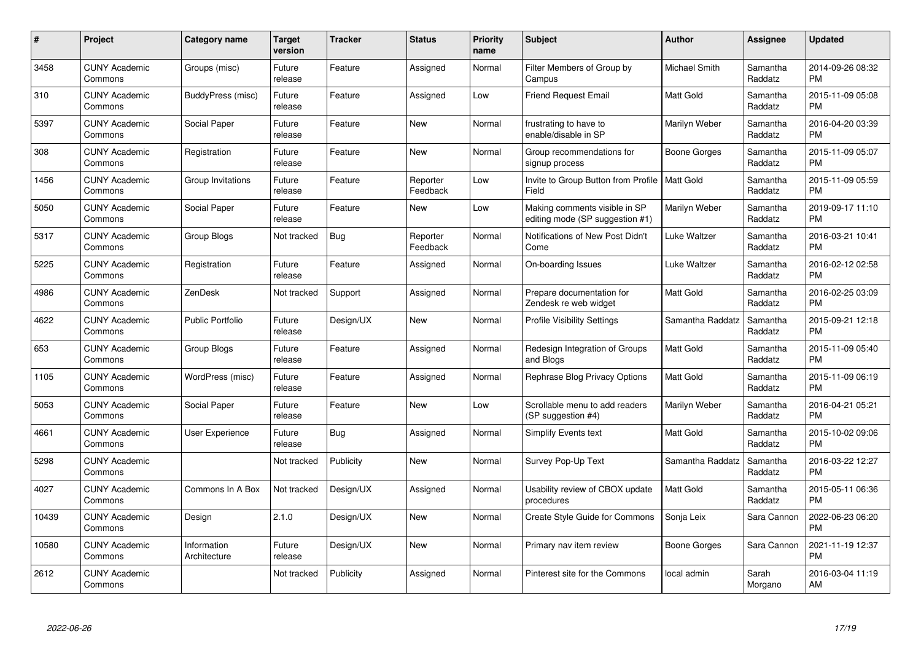| $\pmb{\#}$ | Project                         | <b>Category name</b>        | <b>Target</b><br>version | <b>Tracker</b> | <b>Status</b>        | <b>Priority</b><br>name | <b>Subject</b>                                                   | Author           | <b>Assignee</b>     | <b>Updated</b>                |
|------------|---------------------------------|-----------------------------|--------------------------|----------------|----------------------|-------------------------|------------------------------------------------------------------|------------------|---------------------|-------------------------------|
| 3458       | <b>CUNY Academic</b><br>Commons | Groups (misc)               | Future<br>release        | Feature        | Assigned             | Normal                  | Filter Members of Group by<br>Campus                             | Michael Smith    | Samantha<br>Raddatz | 2014-09-26 08:32<br><b>PM</b> |
| 310        | <b>CUNY Academic</b><br>Commons | BuddyPress (misc)           | Future<br>release        | Feature        | Assigned             | Low                     | <b>Friend Request Email</b>                                      | <b>Matt Gold</b> | Samantha<br>Raddatz | 2015-11-09 05:08<br><b>PM</b> |
| 5397       | <b>CUNY Academic</b><br>Commons | Social Paper                | Future<br>release        | Feature        | New                  | Normal                  | frustrating to have to<br>enable/disable in SP                   | Marilyn Weber    | Samantha<br>Raddatz | 2016-04-20 03:39<br><b>PM</b> |
| 308        | <b>CUNY Academic</b><br>Commons | Registration                | Future<br>release        | Feature        | <b>New</b>           | Normal                  | Group recommendations for<br>signup process                      | Boone Gorges     | Samantha<br>Raddatz | 2015-11-09 05:07<br><b>PM</b> |
| 1456       | <b>CUNY Academic</b><br>Commons | Group Invitations           | Future<br>release        | Feature        | Reporter<br>Feedback | Low                     | Invite to Group Button from Profile   Matt Gold<br>Field         |                  | Samantha<br>Raddatz | 2015-11-09 05:59<br><b>PM</b> |
| 5050       | <b>CUNY Academic</b><br>Commons | Social Paper                | Future<br>release        | Feature        | <b>New</b>           | Low                     | Making comments visible in SP<br>editing mode (SP suggestion #1) | Marilyn Weber    | Samantha<br>Raddatz | 2019-09-17 11:10<br><b>PM</b> |
| 5317       | <b>CUNY Academic</b><br>Commons | <b>Group Blogs</b>          | Not tracked              | Bug            | Reporter<br>Feedback | Normal                  | Notifications of New Post Didn't<br>Come                         | Luke Waltzer     | Samantha<br>Raddatz | 2016-03-21 10:41<br><b>PM</b> |
| 5225       | <b>CUNY Academic</b><br>Commons | Registration                | Future<br>release        | Feature        | Assigned             | Normal                  | On-boarding Issues                                               | Luke Waltzer     | Samantha<br>Raddatz | 2016-02-12 02:58<br><b>PM</b> |
| 4986       | <b>CUNY Academic</b><br>Commons | ZenDesk                     | Not tracked              | Support        | Assigned             | Normal                  | Prepare documentation for<br>Zendesk re web widget               | <b>Matt Gold</b> | Samantha<br>Raddatz | 2016-02-25 03:09<br><b>PM</b> |
| 4622       | <b>CUNY Academic</b><br>Commons | <b>Public Portfolio</b>     | Future<br>release        | Design/UX      | <b>New</b>           | Normal                  | <b>Profile Visibility Settings</b>                               | Samantha Raddatz | Samantha<br>Raddatz | 2015-09-21 12:18<br><b>PM</b> |
| 653        | <b>CUNY Academic</b><br>Commons | Group Blogs                 | Future<br>release        | Feature        | Assigned             | Normal                  | Redesign Integration of Groups<br>and Blogs                      | <b>Matt Gold</b> | Samantha<br>Raddatz | 2015-11-09 05:40<br><b>PM</b> |
| 1105       | <b>CUNY Academic</b><br>Commons | WordPress (misc)            | Future<br>release        | Feature        | Assigned             | Normal                  | Rephrase Blog Privacy Options                                    | <b>Matt Gold</b> | Samantha<br>Raddatz | 2015-11-09 06:19<br><b>PM</b> |
| 5053       | <b>CUNY Academic</b><br>Commons | Social Paper                | Future<br>release        | Feature        | <b>New</b>           | Low                     | Scrollable menu to add readers<br>(SP suggestion #4)             | Marilyn Weber    | Samantha<br>Raddatz | 2016-04-21 05:21<br><b>PM</b> |
| 4661       | <b>CUNY Academic</b><br>Commons | <b>User Experience</b>      | Future<br>release        | Bug            | Assigned             | Normal                  | <b>Simplify Events text</b>                                      | <b>Matt Gold</b> | Samantha<br>Raddatz | 2015-10-02 09:06<br><b>PM</b> |
| 5298       | <b>CUNY Academic</b><br>Commons |                             | Not tracked              | Publicity      | New                  | Normal                  | Survey Pop-Up Text                                               | Samantha Raddatz | Samantha<br>Raddatz | 2016-03-22 12:27<br><b>PM</b> |
| 4027       | <b>CUNY Academic</b><br>Commons | Commons In A Box            | Not tracked              | Design/UX      | Assigned             | Normal                  | Usability review of CBOX update<br>procedures                    | <b>Matt Gold</b> | Samantha<br>Raddatz | 2015-05-11 06:36<br><b>PM</b> |
| 10439      | <b>CUNY Academic</b><br>Commons | Design                      | 2.1.0                    | Design/UX      | New                  | Normal                  | Create Style Guide for Commons                                   | Sonja Leix       | Sara Cannon         | 2022-06-23 06:20<br><b>PM</b> |
| 10580      | <b>CUNY Academic</b><br>Commons | Information<br>Architecture | Future<br>release        | Design/UX      | <b>New</b>           | Normal                  | Primary nav item review                                          | Boone Gorges     | Sara Cannon         | 2021-11-19 12:37<br><b>PM</b> |
| 2612       | <b>CUNY Academic</b><br>Commons |                             | Not tracked              | Publicity      | Assigned             | Normal                  | Pinterest site for the Commons                                   | local admin      | Sarah<br>Morgano    | 2016-03-04 11:19<br>AM        |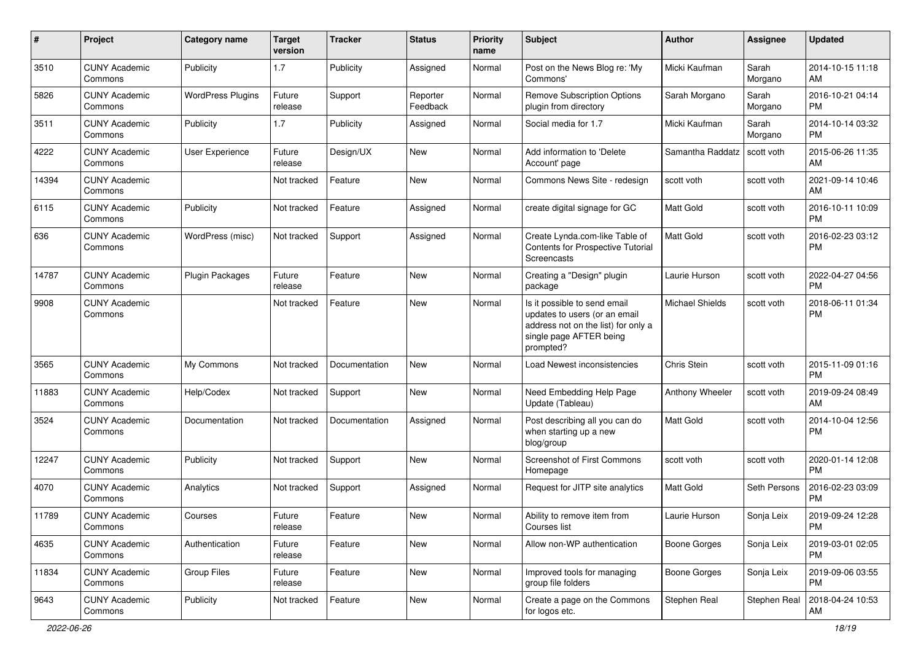| #     | Project                         | <b>Category name</b>     | <b>Target</b><br>version | <b>Tracker</b> | <b>Status</b>        | <b>Priority</b><br>name | <b>Subject</b>                                                                                                                               | Author           | <b>Assignee</b>  | <b>Updated</b>                |
|-------|---------------------------------|--------------------------|--------------------------|----------------|----------------------|-------------------------|----------------------------------------------------------------------------------------------------------------------------------------------|------------------|------------------|-------------------------------|
| 3510  | <b>CUNY Academic</b><br>Commons | Publicity                | 1.7                      | Publicity      | Assigned             | Normal                  | Post on the News Blog re: 'My<br>Commons'                                                                                                    | Micki Kaufman    | Sarah<br>Morgano | 2014-10-15 11:18<br>AM        |
| 5826  | <b>CUNY Academic</b><br>Commons | <b>WordPress Plugins</b> | Future<br>release        | Support        | Reporter<br>Feedback | Normal                  | <b>Remove Subscription Options</b><br>plugin from directory                                                                                  | Sarah Morgano    | Sarah<br>Morgano | 2016-10-21 04:14<br>РM        |
| 3511  | <b>CUNY Academic</b><br>Commons | Publicity                | 1.7                      | Publicity      | Assigned             | Normal                  | Social media for 1.7                                                                                                                         | Micki Kaufman    | Sarah<br>Morgano | 2014-10-14 03:32<br><b>PM</b> |
| 4222  | <b>CUNY Academic</b><br>Commons | User Experience          | Future<br>release        | Design/UX      | <b>New</b>           | Normal                  | Add information to 'Delete<br>Account' page                                                                                                  | Samantha Raddatz | scott voth       | 2015-06-26 11:35<br>AM        |
| 14394 | <b>CUNY Academic</b><br>Commons |                          | Not tracked              | Feature        | <b>New</b>           | Normal                  | Commons News Site - redesign                                                                                                                 | scott voth       | scott voth       | 2021-09-14 10:46<br>AM        |
| 6115  | <b>CUNY Academic</b><br>Commons | Publicity                | Not tracked              | Feature        | Assigned             | Normal                  | create digital signage for GC                                                                                                                | Matt Gold        | scott voth       | 2016-10-11 10:09<br>PМ        |
| 636   | <b>CUNY Academic</b><br>Commons | WordPress (misc)         | Not tracked              | Support        | Assigned             | Normal                  | Create Lynda.com-like Table of<br>Contents for Prospective Tutorial<br>Screencasts                                                           | Matt Gold        | scott voth       | 2016-02-23 03:12<br>РM        |
| 14787 | <b>CUNY Academic</b><br>Commons | <b>Plugin Packages</b>   | Future<br>release        | Feature        | New                  | Normal                  | Creating a "Design" plugin<br>package                                                                                                        | Laurie Hurson    | scott voth       | 2022-04-27 04:56<br><b>PM</b> |
| 9908  | <b>CUNY Academic</b><br>Commons |                          | Not tracked              | Feature        | New                  | Normal                  | Is it possible to send email<br>updates to users (or an email<br>address not on the list) for only a<br>single page AFTER being<br>prompted? | Michael Shields  | scott voth       | 2018-06-11 01:34<br>РM        |
| 3565  | <b>CUNY Academic</b><br>Commons | My Commons               | Not tracked              | Documentation  | New                  | Normal                  | Load Newest inconsistencies                                                                                                                  | Chris Stein      | scott voth       | 2015-11-09 01:16<br><b>PM</b> |
| 11883 | <b>CUNY Academic</b><br>Commons | Help/Codex               | Not tracked              | Support        | New                  | Normal                  | Need Embedding Help Page<br>Update (Tableau)                                                                                                 | Anthony Wheeler  | scott voth       | 2019-09-24 08:49<br>AM        |
| 3524  | <b>CUNY Academic</b><br>Commons | Documentation            | Not tracked              | Documentation  | Assigned             | Normal                  | Post describing all you can do<br>when starting up a new<br>blog/group                                                                       | Matt Gold        | scott voth       | 2014-10-04 12:56<br>РM        |
| 12247 | <b>CUNY Academic</b><br>Commons | Publicity                | Not tracked              | Support        | <b>New</b>           | Normal                  | <b>Screenshot of First Commons</b><br>Homepage                                                                                               | scott voth       | scott voth       | 2020-01-14 12:08<br><b>PM</b> |
| 4070  | <b>CUNY Academic</b><br>Commons | Analytics                | Not tracked              | Support        | Assigned             | Normal                  | Request for JITP site analytics                                                                                                              | Matt Gold        | Seth Persons     | 2016-02-23 03:09<br>РM        |
| 11789 | <b>CUNY Academic</b><br>Commons | Courses                  | Future<br>release        | Feature        | New                  | Normal                  | Ability to remove item from<br>Courses list                                                                                                  | Laurie Hurson    | Sonja Leix       | 2019-09-24 12:28<br>PM        |
| 4635  | <b>CUNY Academic</b><br>Commons | Authentication           | Future<br>release        | Feature        | New                  | Normal                  | Allow non-WP authentication                                                                                                                  | Boone Gorges     | Sonja Leix       | 2019-03-01 02:05<br>PM        |
| 11834 | <b>CUNY Academic</b><br>Commons | <b>Group Files</b>       | Future<br>release        | Feature        | New                  | Normal                  | Improved tools for managing<br>group file folders                                                                                            | Boone Gorges     | Sonja Leix       | 2019-09-06 03:55<br>PM        |
| 9643  | <b>CUNY Academic</b><br>Commons | Publicity                | Not tracked              | Feature        | New                  | Normal                  | Create a page on the Commons<br>for logos etc.                                                                                               | Stephen Real     | Stephen Real     | 2018-04-24 10:53<br>AM        |